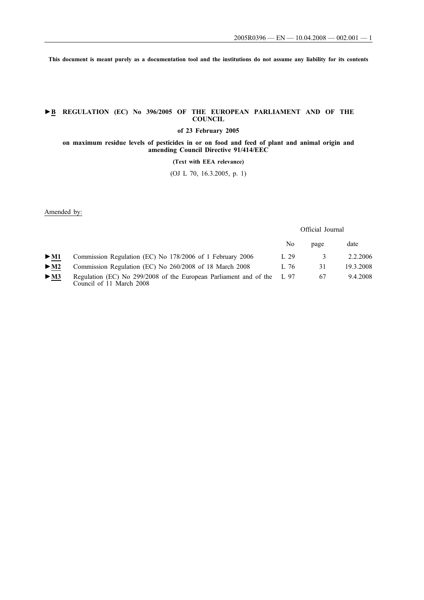**This document is meant purely as a documentation tool and the institutions do not assume any liability for its contents**

### **►B REGULATION (EC) No 396/2005 OF THE EUROPEAN PARLIAMENT AND OF THE COUNCIL**

**of 23 February 2005**

**on maximum residue levels of pesticides in or on food and feed of plant and animal origin and amending Council Directive 91/414/EEC**

#### **(Text with EEA relevance)**

(OJ L 70, 16.3.2005, p. 1)

Amended by:

Official Journal

|                          |                                                                                                    | No.  | page          | date      |
|--------------------------|----------------------------------------------------------------------------------------------------|------|---------------|-----------|
| $>$ M1                   | Commission Regulation (EC) No 178/2006 of 1 February 2006                                          | 1.29 | $\mathcal{R}$ | 2.2.2006  |
| $>$ M2                   | Commission Regulation (EC) No 260/2008 of 18 March 2008                                            | 1.76 | 31            | 19.3.2008 |
| $\blacktriangleright$ M3 | Regulation (EC) No 299/2008 of the European Parliament and of the L 97<br>Council of 11 March 2008 |      | 67            | 9.4.2008  |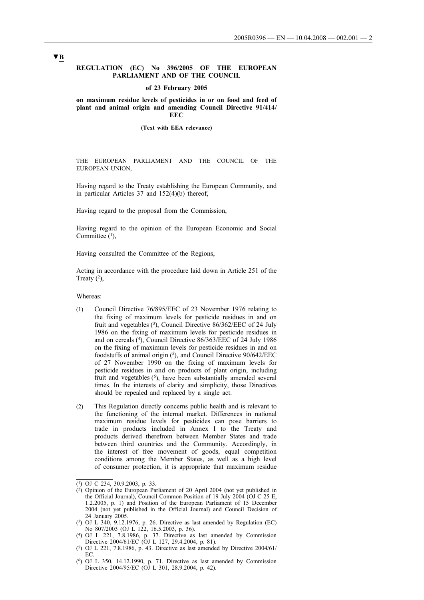### **REGULATION (EC) No 396/2005 OF THE EUROPEAN PARLIAMENT AND OF THE COUNCIL**

#### **of 23 February 2005**

**on maximum residue levels of pesticides in or on food and feed of plant and animal origin and amending Council Directive 91/414/ EEC**

#### **(Text with EEA relevance)**

THE EUROPEAN PARLIAMENT AND THE COUNCIL OF THE EUROPEAN UNION,

Having regard to the Treaty establishing the European Community, and in particular Articles 37 and 152(4)(b) thereof,

Having regard to the proposal from the Commission,

Having regard to the opinion of the European Economic and Social Committee  $(1)$ ,

Having consulted the Committee of the Regions,

Acting in accordance with the procedure laid down in Article 251 of the Treaty  $(2)$ ,

Whereas:

- (1) Council Directive 76/895/EEC of 23 November 1976 relating to the fixing of maximum levels for pesticide residues in and on fruit and vegetables (3), Council Directive 86/362/EEC of 24 July 1986 on the fixing of maximum levels for pesticide residues in and on cereals (4), Council Directive 86/363/EEC of 24 July 1986 on the fixing of maximum levels for pesticide residues in and on foodstuffs of animal origin (5), and Council Directive 90/642/EEC of 27 November 1990 on the fixing of maximum levels for pesticide residues in and on products of plant origin, including fruit and vegetables (6), have been substantially amended several times. In the interests of clarity and simplicity, those Directives should be repealed and replaced by a single act.
- (2) This Regulation directly concerns public health and is relevant to the functioning of the internal market. Differences in national maximum residue levels for pesticides can pose barriers to trade in products included in Annex I to the Treaty and products derived therefrom between Member States and trade between third countries and the Community. Accordingly, in the interest of free movement of goods, equal competition conditions among the Member States, as well as a high level of consumer protection, it is appropriate that maximum residue

 $\overline{(^1)}$  OJ C 234, 30.9.2003, p. 33.

 $(2)$  Opinion of the European Parliament of 20 April 2004 (not yet published in the Official Journal), Council Common Position of 19 July 2004 (OJ C 25 E, 1.2.2005, p. 1) and Position of the European Parliament of 15 December 2004 (not yet published in the Official Journal) and Council Decision of 24 January 2005.

 $(3)$  OJ L 340, 9.12.1976, p. 26. Directive as last amended by Regulation (EC) No 807/2003 (OJ L 122, 16.5.2003, p. 36).

<sup>(4)</sup> OJ L 221, 7.8.1986, p. 37. Directive as last amended by Commission Directive 2004/61/EC (OJ L 127, 29.4.2004, p. 81).

<sup>(5)</sup> OJ L 221, 7.8.1986, p. 43. Directive as last amended by Directive 2004/61/ EC.

<sup>(6)</sup> OJ L 350, 14.12.1990, p. 71. Directive as last amended by Commission Directive 2004/95/EC (OJ L 301, 28.9.2004, p. 42).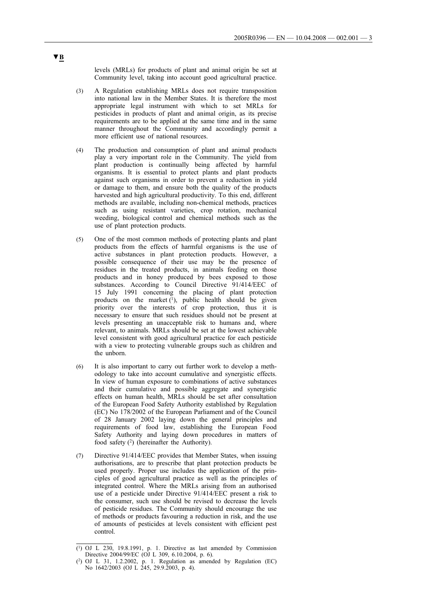levels (MRLs) for products of plant and animal origin be set at Community level, taking into account good agricultural practice.

- (3) A Regulation establishing MRLs does not require transposition into national law in the Member States. It is therefore the most appropriate legal instrument with which to set MRLs for pesticides in products of plant and animal origin, as its precise requirements are to be applied at the same time and in the same manner throughout the Community and accordingly permit a more efficient use of national resources.
- (4) The production and consumption of plant and animal products play a very important role in the Community. The yield from plant production is continually being affected by harmful organisms. It is essential to protect plants and plant products against such organisms in order to prevent a reduction in yield or damage to them, and ensure both the quality of the products harvested and high agricultural productivity. To this end, different methods are available, including non-chemical methods, practices such as using resistant varieties, crop rotation, mechanical weeding, biological control and chemical methods such as the use of plant protection products.
- (5) One of the most common methods of protecting plants and plant products from the effects of harmful organisms is the use of active substances in plant protection products. However, a possible consequence of their use may be the presence of residues in the treated products, in animals feeding on those products and in honey produced by bees exposed to those substances. According to Council Directive 91/414/EEC of 15 July 1991 concerning the placing of plant protection products on the market  $(1)$ , public health should be given priority over the interests of crop protection, thus it is necessary to ensure that such residues should not be present at levels presenting an unacceptable risk to humans and, where relevant, to animals. MRLs should be set at the lowest achievable level consistent with good agricultural practice for each pesticide with a view to protecting vulnerable groups such as children and the unborn.
- (6) It is also important to carry out further work to develop a methodology to take into account cumulative and synergistic effects. In view of human exposure to combinations of active substances and their cumulative and possible aggregate and synergistic effects on human health, MRLs should be set after consultation of the European Food Safety Authority established by Regulation (EC) No 178/2002 of the European Parliament and of the Council of 28 January 2002 laying down the general principles and requirements of food law, establishing the European Food Safety Authority and laying down procedures in matters of food safety  $(2)$  (hereinafter the Authority).
- (7) Directive 91/414/EEC provides that Member States, when issuing authorisations, are to prescribe that plant protection products be used properly. Proper use includes the application of the principles of good agricultural practice as well as the principles of integrated control. Where the MRLs arising from an authorised use of a pesticide under Directive 91/414/EEC present a risk to the consumer, such use should be revised to decrease the levels of pesticide residues. The Community should encourage the use of methods or products favouring a reduction in risk, and the use of amounts of pesticides at levels consistent with efficient pest control.

 $(1)$  OJ L 230, 19.8.1991, p. 1. Directive as last amended by Commission Directive 2004/99/EC (OJ L 309, 6.10.2004, p. 6).

<sup>(2)</sup> OJ L 31, 1.2.2002, p. 1. Regulation as amended by Regulation (EC) No 1642/2003 (OJ L 245, 29.9.2003, p. 4).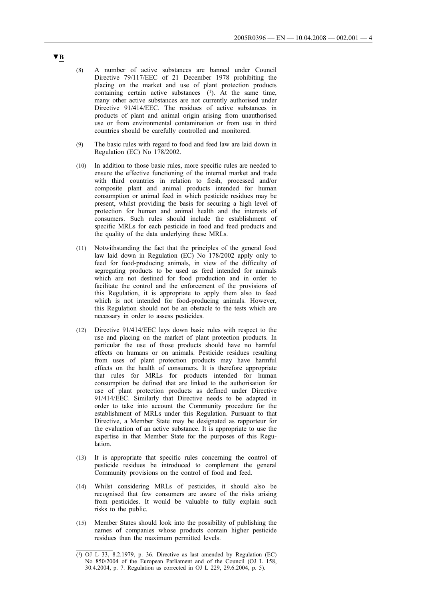- (8) A number of active substances are banned under Council Directive 79/117/EEC of 21 December 1978 prohibiting the placing on the market and use of plant protection products containing certain active substances  $(1)$ . At the same time, many other active substances are not currently authorised under Directive 91/414/EEC. The residues of active substances in products of plant and animal origin arising from unauthorised use or from environmental contamination or from use in third countries should be carefully controlled and monitored.
- (9) The basic rules with regard to food and feed law are laid down in Regulation (EC) No 178/2002.
- (10) In addition to those basic rules, more specific rules are needed to ensure the effective functioning of the internal market and trade with third countries in relation to fresh, processed and/or composite plant and animal products intended for human consumption or animal feed in which pesticide residues may be present, whilst providing the basis for securing a high level of protection for human and animal health and the interests of consumers. Such rules should include the establishment of specific MRLs for each pesticide in food and feed products and the quality of the data underlying these MRLs.
- (11) Notwithstanding the fact that the principles of the general food law laid down in Regulation (EC) No 178/2002 apply only to feed for food-producing animals, in view of the difficulty of segregating products to be used as feed intended for animals which are not destined for food production and in order to facilitate the control and the enforcement of the provisions of this Regulation, it is appropriate to apply them also to feed which is not intended for food-producing animals. However, this Regulation should not be an obstacle to the tests which are necessary in order to assess pesticides.
- (12) Directive 91/414/EEC lays down basic rules with respect to the use and placing on the market of plant protection products. In particular the use of those products should have no harmful effects on humans or on animals. Pesticide residues resulting from uses of plant protection products may have harmful effects on the health of consumers. It is therefore appropriate that rules for MRLs for products intended for human consumption be defined that are linked to the authorisation for use of plant protection products as defined under Directive 91/414/EEC. Similarly that Directive needs to be adapted in order to take into account the Community procedure for the establishment of MRLs under this Regulation. Pursuant to that Directive, a Member State may be designated as rapporteur for the evaluation of an active substance. It is appropriate to use the expertise in that Member State for the purposes of this Regulation.
- (13) It is appropriate that specific rules concerning the control of pesticide residues be introduced to complement the general Community provisions on the control of food and feed.
- (14) Whilst considering MRLs of pesticides, it should also be recognised that few consumers are aware of the risks arising from pesticides. It would be valuable to fully explain such risks to the public.
- (15) Member States should look into the possibility of publishing the names of companies whose products contain higher pesticide residues than the maximum permitted levels.

<sup>(1)</sup> OJ L 33, 8.2.1979, p. 36. Directive as last amended by Regulation (EC) No 850/2004 of the European Parliament and of the Council (OJ L 158, 30.4.2004, p. 7. Regulation as corrected in OJ L 229, 29.6.2004, p. 5).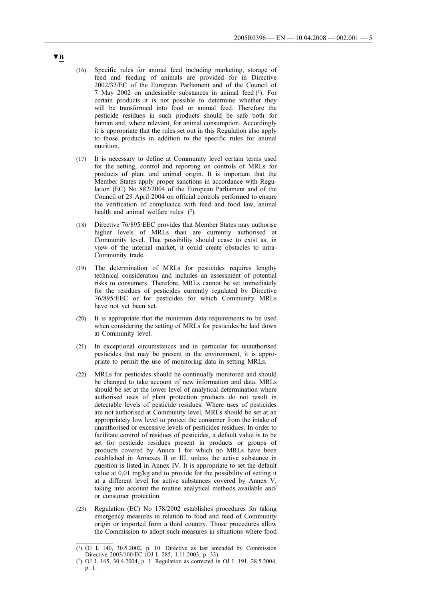- (16) Specific rules for animal feed including marketing, storage of feed and feeding of animals are provided for in Directive 2002/32/EC of the European Parliament and of the Council of 7 May 2002 on undesirable substances in animal feed (1). For certain products it is not possible to determine whether they will be transformed into food or animal feed. Therefore the pesticide residues in such products should be safe both for human and, where relevant, for animal consumption. Accordingly it is appropriate that the rules set out in this Regulation also apply to those products in addition to the specific rules for animal nutrition.
- (17) It is necessary to define at Community level certain terms used for the setting, control and reporting on controls of MRLs for products of plant and animal origin. It is important that the Member States apply proper sanctions in accordance with Regulation (EC) No 882/2004 of the European Parliament and of the Council of 29 April 2004 on official controls performed to ensure the verification of compliance with feed and food law, animal health and animal welfare rules  $(2)$ .
- (18) Directive 76/895/EEC provides that Member States may authorise higher levels of MRLs than are currently authorised at Community level. That possibility should cease to exist as, in view of the internal market, it could create obstacles to intra-Community trade.
- (19) The determination of MRLs for pesticides requires lengthy technical consideration and includes an assessment of potential risks to consumers. Therefore, MRLs cannot be set immediately for the residues of pesticides currently regulated by Directive 76/895/EEC or for pesticides for which Community MRLs have not yet been set.
- (20) It is appropriate that the minimum data requirements to be used when considering the setting of MRLs for pesticides be laid down at Community level.
- (21) In exceptional circumstances and in particular for unauthorised pesticides that may be present in the environment, it is appropriate to permit the use of monitoring data in setting MRLs.
- (22) MRLs for pesticides should be continually monitored and should be changed to take account of new information and data. MRLs should be set at the lower level of analytical determination where authorised uses of plant protection products do not result in detectable levels of pesticide residues. Where uses of pesticides are not authorised at Community level, MRLs should be set at an appropriately low level to protect the consumer from the intake of unauthorised or excessive levels of pesticides residues. In order to facilitate control of residues of pesticides, a default value is to be set for pesticide residues present in products or groups of products covered by Annex I for which no MRLs have been established in Annexes II or III, unless the active substance in question is listed in Annex IV. It is appropriate to set the default value at 0,01 mg/kg and to provide for the possibility of setting it at a different level for active substances covered by Annex V, taking into account the routine analytical methods available and/ or consumer protection.
- (23) Regulation (EC) No 178/2002 establishes procedures for taking emergency measures in relation to food and feed of Community origin or imported from a third country. Those procedures allow the Commission to adopt such measures in situations where food

 $(1)$  OJ L 140, 30.5.2002, p. 10. Directive as last amended by Commission Directive 2003/100/EC (OJ L 285, 1.11.2003, p. 33).

<sup>(2)</sup> OJ L 165, 30.4.2004, p. 1. Regulation as corrected in OJ L 191, 28.5.2004, p. 1.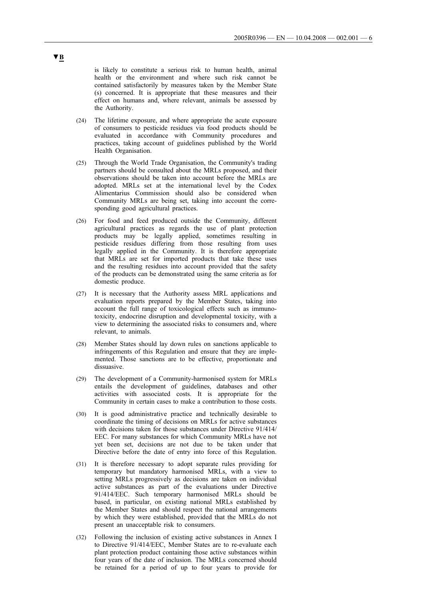is likely to constitute a serious risk to human health, animal health or the environment and where such risk cannot be contained satisfactorily by measures taken by the Member State (s) concerned. It is appropriate that these measures and their effect on humans and, where relevant, animals be assessed by the Authority.

- (24) The lifetime exposure, and where appropriate the acute exposure of consumers to pesticide residues via food products should be evaluated in accordance with Community procedures and practices, taking account of guidelines published by the World Health Organisation.
- (25) Through the World Trade Organisation, the Community's trading partners should be consulted about the MRLs proposed, and their observations should be taken into account before the MRLs are adopted. MRLs set at the international level by the Codex Alimentarius Commission should also be considered when Community MRLs are being set, taking into account the corresponding good agricultural practices.
- (26) For food and feed produced outside the Community, different agricultural practices as regards the use of plant protection products may be legally applied, sometimes resulting in pesticide residues differing from those resulting from uses legally applied in the Community. It is therefore appropriate that MRLs are set for imported products that take these uses and the resulting residues into account provided that the safety of the products can be demonstrated using the same criteria as for domestic produce.
- (27) It is necessary that the Authority assess MRL applications and evaluation reports prepared by the Member States, taking into account the full range of toxicological effects such as immunotoxicity, endocrine disruption and developmental toxicity, with a view to determining the associated risks to consumers and, where relevant, to animals.
- (28) Member States should lay down rules on sanctions applicable to infringements of this Regulation and ensure that they are implemented. Those sanctions are to be effective, proportionate and dissuasive.
- (29) The development of a Community-harmonised system for MRLs entails the development of guidelines, databases and other activities with associated costs. It is appropriate for the Community in certain cases to make a contribution to those costs.
- (30) It is good administrative practice and technically desirable to coordinate the timing of decisions on MRLs for active substances with decisions taken for those substances under Directive 91/414/ EEC. For many substances for which Community MRLs have not yet been set, decisions are not due to be taken under that Directive before the date of entry into force of this Regulation.
- (31) It is therefore necessary to adopt separate rules providing for temporary but mandatory harmonised MRLs, with a view to setting MRLs progressively as decisions are taken on individual active substances as part of the evaluations under Directive 91/414/EEC. Such temporary harmonised MRLs should be based, in particular, on existing national MRLs established by the Member States and should respect the national arrangements by which they were established, provided that the MRLs do not present an unacceptable risk to consumers.
- (32) Following the inclusion of existing active substances in Annex I to Directive 91/414/EEC, Member States are to re-evaluate each plant protection product containing those active substances within four years of the date of inclusion. The MRLs concerned should be retained for a period of up to four years to provide for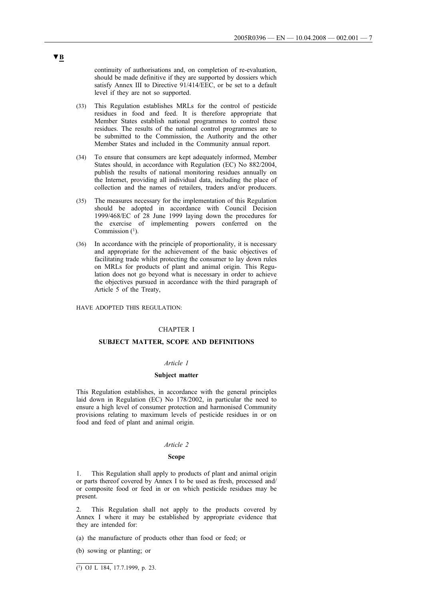continuity of authorisations and, on completion of re-evaluation, should be made definitive if they are supported by dossiers which satisfy Annex III to Directive 91/414/EEC, or be set to a default level if they are not so supported.

- (33) This Regulation establishes MRLs for the control of pesticide residues in food and feed. It is therefore appropriate that Member States establish national programmes to control these residues. The results of the national control programmes are to be submitted to the Commission, the Authority and the other Member States and included in the Community annual report.
- (34) To ensure that consumers are kept adequately informed, Member States should, in accordance with Regulation (EC) No 882/2004, publish the results of national monitoring residues annually on the Internet, providing all individual data, including the place of collection and the names of retailers, traders and/or producers.
- (35) The measures necessary for the implementation of this Regulation should be adopted in accordance with Council Decision 1999/468/EC of 28 June 1999 laying down the procedures for the exercise of implementing powers conferred on the Commission  $(1)$ .
- (36) In accordance with the principle of proportionality, it is necessary and appropriate for the achievement of the basic objectives of facilitating trade whilst protecting the consumer to lay down rules on MRLs for products of plant and animal origin. This Regulation does not go beyond what is necessary in order to achieve the objectives pursued in accordance with the third paragraph of Article 5 of the Treaty,

HAVE ADOPTED THIS REGULATION:

### CHAPTER I

### **SUBJECT MATTER, SCOPE AND DEFINITIONS**

#### *Article 1*

#### **Subject matter**

This Regulation establishes, in accordance with the general principles laid down in Regulation (EC) No 178/2002, in particular the need to ensure a high level of consumer protection and harmonised Community provisions relating to maximum levels of pesticide residues in or on food and feed of plant and animal origin.

#### *Article 2*

#### **Scope**

1. This Regulation shall apply to products of plant and animal origin or parts thereof covered by Annex I to be used as fresh, processed and/ or composite food or feed in or on which pesticide residues may be present.

This Regulation shall not apply to the products covered by Annex I where it may be established by appropriate evidence that they are intended for:

(a) the manufacture of products other than food or feed; or

(b) sowing or planting; or

 $\overline{(^1)}$  OJ L 184, 17.7.1999, p. 23.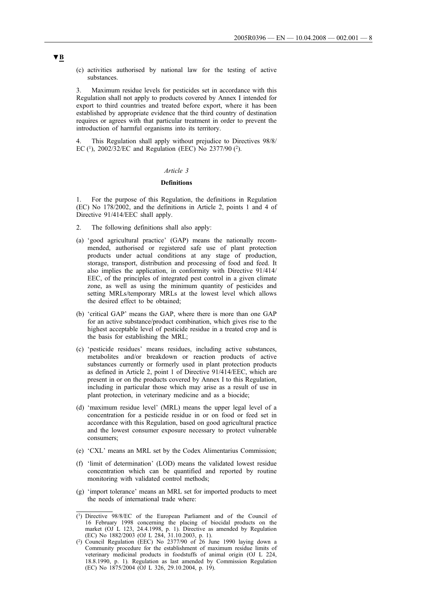(c) activities authorised by national law for the testing of active substances.

3. Maximum residue levels for pesticides set in accordance with this Regulation shall not apply to products covered by Annex I intended for export to third countries and treated before export, where it has been established by appropriate evidence that the third country of destination requires or agrees with that particular treatment in order to prevent the introduction of harmful organisms into its territory.

4. This Regulation shall apply without prejudice to Directives 98/8/ EC (1), 2002/32/EC and Regulation (EEC) No 2377/90 (2).

#### *Article 3*

## **Definitions**

1. For the purpose of this Regulation, the definitions in Regulation (EC) No 178/2002, and the definitions in Article 2, points 1 and 4 of Directive 91/414/EEC shall apply.

- 2. The following definitions shall also apply:
- (a) 'good agricultural practice' (GAP) means the nationally recommended, authorised or registered safe use of plant protection products under actual conditions at any stage of production, storage, transport, distribution and processing of food and feed. It also implies the application, in conformity with Directive 91/414/ EEC, of the principles of integrated pest control in a given climate zone, as well as using the minimum quantity of pesticides and setting MRLs/temporary MRLs at the lowest level which allows the desired effect to be obtained;
- (b) 'critical GAP' means the GAP, where there is more than one GAP for an active substance/product combination, which gives rise to the highest acceptable level of pesticide residue in a treated crop and is the basis for establishing the MRL;
- (c) 'pesticide residues' means residues, including active substances, metabolites and/or breakdown or reaction products of active substances currently or formerly used in plant protection products as defined in Article 2, point 1 of Directive 91/414/EEC, which are present in or on the products covered by Annex I to this Regulation, including in particular those which may arise as a result of use in plant protection, in veterinary medicine and as a biocide;
- (d) 'maximum residue level' (MRL) means the upper legal level of a concentration for a pesticide residue in or on food or feed set in accordance with this Regulation, based on good agricultural practice and the lowest consumer exposure necessary to protect vulnerable consumers;
- (e) 'CXL' means an MRL set by the Codex Alimentarius Commission;
- (f) 'limit of determination' (LOD) means the validated lowest residue concentration which can be quantified and reported by routine monitoring with validated control methods;
- (g) 'import tolerance' means an MRL set for imported products to meet the needs of international trade where:

<sup>(1)</sup> Directive 98/8/EC of the European Parliament and of the Council of 16 February 1998 concerning the placing of biocidal products on the market (OJ L 123, 24.4.1998, p. 1). Directive as amended by Regulation (EC) No 1882/2003 (OJ L 284, 31.10.2003, p. 1).

<sup>(2)</sup> Council Regulation (EEC) No 2377/90 of 26 June 1990 laying down a Community procedure for the establishment of maximum residue limits of veterinary medicinal products in foodstuffs of animal origin (OJ L 224, 18.8.1990, p. 1). Regulation as last amended by Commission Regulation (EC) No 1875/2004 (OJ L 326, 29.10.2004, p. 19).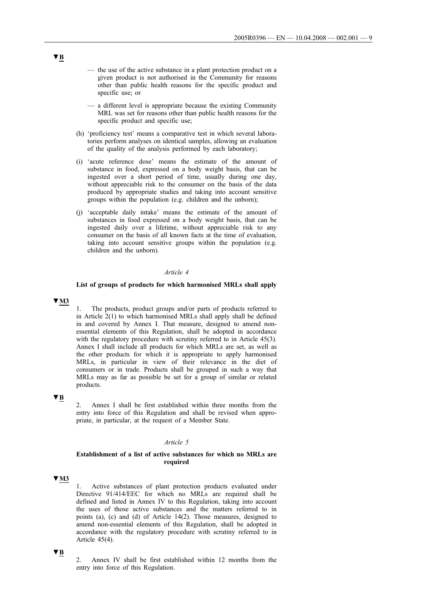- the use of the active substance in a plant protection product on a given product is not authorised in the Community for reasons other than public health reasons for the specific product and specific use; or
- a different level is appropriate because the existing Community MRL was set for reasons other than public health reasons for the specific product and specific use;
- (h) 'proficiency test' means a comparative test in which several laboratories perform analyses on identical samples, allowing an evaluation of the quality of the analysis performed by each laboratory;
- (i) 'acute reference dose' means the estimate of the amount of substance in food, expressed on a body weight basis, that can be ingested over a short period of time, usually during one day, without appreciable risk to the consumer on the basis of the data produced by appropriate studies and taking into account sensitive groups within the population (e.g. children and the unborn);
- (j) 'acceptable daily intake' means the estimate of the amount of substances in food expressed on a body weight basis, that can be ingested daily over a lifetime, without appreciable risk to any consumer on the basis of all known facts at the time of evaluation, taking into account sensitive groups within the population (e.g. children and the unborn).

#### *Article 4*

## **List of groups of products for which harmonised MRLs shall apply**

## **▼M3**

1. The products, product groups and/or parts of products referred to in Article  $2(1)$  to which harmonised MRLs shall apply shall be defined in and covered by Annex I. That measure, designed to amend nonessential elements of this Regulation, shall be adopted in accordance with the regulatory procedure with scrutiny referred to in Article 45(3). Annex I shall include all products for which MRLs are set, as well as the other products for which it is appropriate to apply harmonised MRLs, in particular in view of their relevance in the diet of consumers or in trade. Products shall be grouped in such a way that MRLs may as far as possible be set for a group of similar or related products.

## **▼B**

2. Annex I shall be first established within three months from the entry into force of this Regulation and shall be revised when appropriate, in particular, at the request of a Member State.

## *Article 5*

### **Establishment of a list of active substances for which no MRLs are required**

## **▼M3**

Active substances of plant protection products evaluated under Directive 91/414/EEC for which no MRLs are required shall be defined and listed in Annex IV to this Regulation, taking into account the uses of those active substances and the matters referred to in points (a), (c) and (d) of Article 14(2). Those measures, designed to amend non-essential elements of this Regulation, shall be adopted in accordance with the regulatory procedure with scrutiny referred to in Article 45(4).

2. Annex IV shall be first established within 12 months from the entry into force of this Regulation.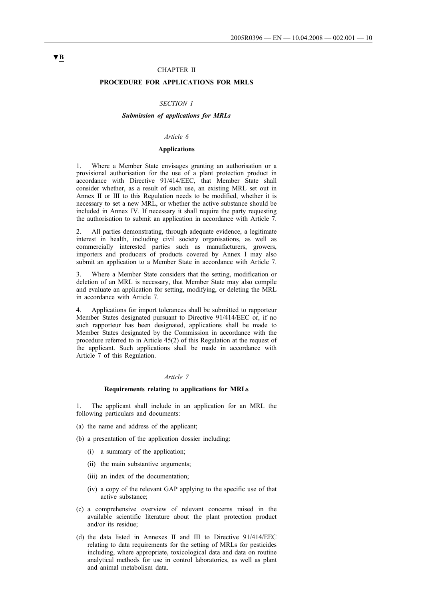#### CHAPTER II

## **PROCEDURE FOR APPLICATIONS FOR MRLS**

### *SECTION 1*

### *Submission of applications for MRLs*

## *Article 6*

#### **Applications**

1. Where a Member State envisages granting an authorisation or a provisional authorisation for the use of a plant protection product in accordance with Directive 91/414/EEC, that Member State shall consider whether, as a result of such use, an existing MRL set out in Annex II or III to this Regulation needs to be modified, whether it is necessary to set a new MRL, or whether the active substance should be included in Annex IV. If necessary it shall require the party requesting the authorisation to submit an application in accordance with Article 7.

2. All parties demonstrating, through adequate evidence, a legitimate interest in health, including civil society organisations, as well as commercially interested parties such as manufacturers, growers, importers and producers of products covered by Annex I may also submit an application to a Member State in accordance with Article 7.

3. Where a Member State considers that the setting, modification or deletion of an MRL is necessary, that Member State may also compile and evaluate an application for setting, modifying, or deleting the MRL in accordance with Article 7.

4. Applications for import tolerances shall be submitted to rapporteur Member States designated pursuant to Directive 91/414/EEC or, if no such rapporteur has been designated, applications shall be made to Member States designated by the Commission in accordance with the procedure referred to in Article 45(2) of this Regulation at the request of the applicant. Such applications shall be made in accordance with Article 7 of this Regulation.

#### *Article 7*

#### **Requirements relating to applications for MRLs**

The applicant shall include in an application for an MRL the following particulars and documents:

- (a) the name and address of the applicant;
- (b) a presentation of the application dossier including:
	- (i) a summary of the application;
	- (ii) the main substantive arguments;
	- (iii) an index of the documentation;
	- (iv) a copy of the relevant GAP applying to the specific use of that active substance;
- (c) a comprehensive overview of relevant concerns raised in the available scientific literature about the plant protection product and/or its residue;
- (d) the data listed in Annexes II and III to Directive 91/414/EEC relating to data requirements for the setting of MRLs for pesticides including, where appropriate, toxicological data and data on routine analytical methods for use in control laboratories, as well as plant and animal metabolism data.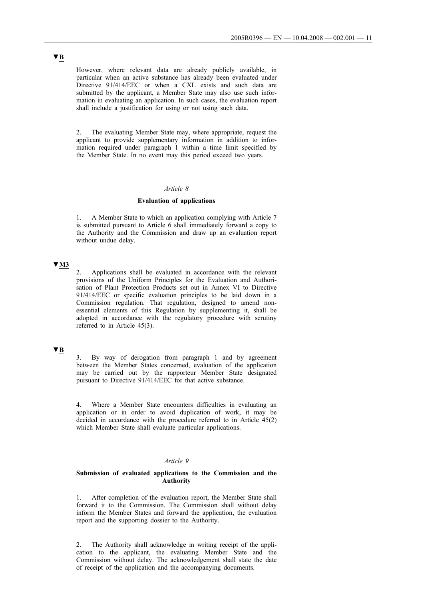However, where relevant data are already publicly available, in particular when an active substance has already been evaluated under Directive 91/414/EEC or when a CXL exists and such data are submitted by the applicant, a Member State may also use such information in evaluating an application. In such cases, the evaluation report shall include a justification for using or not using such data.

2. The evaluating Member State may, where appropriate, request the applicant to provide supplementary information in addition to information required under paragraph 1 within a time limit specified by the Member State. In no event may this period exceed two years.

#### *Article 8*

#### **Evaluation of applications**

1. A Member State to which an application complying with Article 7 is submitted pursuant to Article 6 shall immediately forward a copy to the Authority and the Commission and draw up an evaluation report without undue delay.

## **▼M3**

2. Applications shall be evaluated in accordance with the relevant provisions of the Uniform Principles for the Evaluation and Authorisation of Plant Protection Products set out in Annex VI to Directive 91/414/EEC or specific evaluation principles to be laid down in a Commission regulation. That regulation, designed to amend nonessential elements of this Regulation by supplementing it, shall be adopted in accordance with the regulatory procedure with scrutiny referred to in Article 45(3).

## **▼B**

3. By way of derogation from paragraph 1 and by agreement between the Member States concerned, evaluation of the application may be carried out by the rapporteur Member State designated pursuant to Directive 91/414/EEC for that active substance.

4. Where a Member State encounters difficulties in evaluating an application or in order to avoid duplication of work, it may be decided in accordance with the procedure referred to in Article 45(2) which Member State shall evaluate particular applications.

#### *Article 9*

### **Submission of evaluated applications to the Commission and the Authority**

1. After completion of the evaluation report, the Member State shall forward it to the Commission. The Commission shall without delay inform the Member States and forward the application, the evaluation report and the supporting dossier to the Authority.

2. The Authority shall acknowledge in writing receipt of the application to the applicant, the evaluating Member State and the Commission without delay. The acknowledgement shall state the date of receipt of the application and the accompanying documents.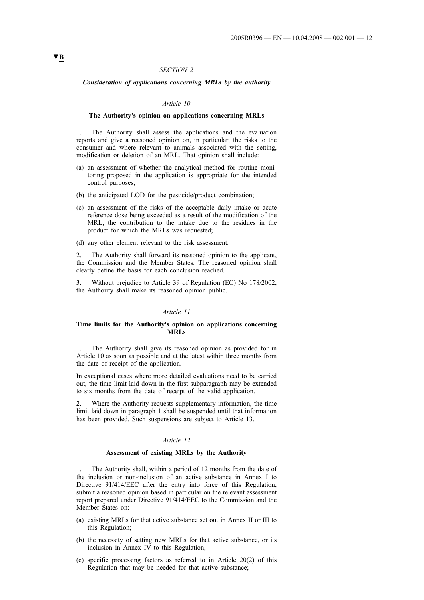#### *SECTION 2*

#### *Consideration of applications concerning MRLs by the authority*

#### *Article 10*

#### **The Authority's opinion on applications concerning MRLs**

1. The Authority shall assess the applications and the evaluation reports and give a reasoned opinion on, in particular, the risks to the consumer and where relevant to animals associated with the setting, modification or deletion of an MRL. That opinion shall include:

- (a) an assessment of whether the analytical method for routine monitoring proposed in the application is appropriate for the intended control purposes;
- (b) the anticipated LOD for the pesticide/product combination;
- (c) an assessment of the risks of the acceptable daily intake or acute reference dose being exceeded as a result of the modification of the MRL; the contribution to the intake due to the residues in the product for which the MRLs was requested;
- (d) any other element relevant to the risk assessment.

The Authority shall forward its reasoned opinion to the applicant, the Commission and the Member States. The reasoned opinion shall clearly define the basis for each conclusion reached.

3. Without prejudice to Article 39 of Regulation (EC) No 178/2002, the Authority shall make its reasoned opinion public.

#### *Article 11*

### **Time limits for the Authority's opinion on applications concerning MRLs**

1. The Authority shall give its reasoned opinion as provided for in Article 10 as soon as possible and at the latest within three months from the date of receipt of the application.

In exceptional cases where more detailed evaluations need to be carried out, the time limit laid down in the first subparagraph may be extended to six months from the date of receipt of the valid application.

2. Where the Authority requests supplementary information, the time limit laid down in paragraph 1 shall be suspended until that information has been provided. Such suspensions are subject to Article 13.

#### *Article 12*

#### **Assessment of existing MRLs by the Authority**

1. The Authority shall, within a period of 12 months from the date of the inclusion or non-inclusion of an active substance in Annex I to Directive 91/414/EEC after the entry into force of this Regulation, submit a reasoned opinion based in particular on the relevant assessment report prepared under Directive 91/414/EEC to the Commission and the Member States on:

- (a) existing MRLs for that active substance set out in Annex II or III to this Regulation;
- (b) the necessity of setting new MRLs for that active substance, or its inclusion in Annex IV to this Regulation;
- (c) specific processing factors as referred to in Article 20(2) of this Regulation that may be needed for that active substance;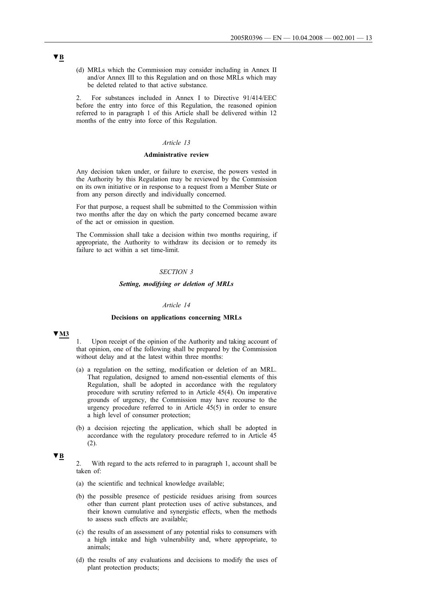(d) MRLs which the Commission may consider including in Annex II and/or Annex III to this Regulation and on those MRLs which may be deleted related to that active substance.

2. For substances included in Annex I to Directive 91/414/EEC before the entry into force of this Regulation, the reasoned opinion referred to in paragraph 1 of this Article shall be delivered within 12 months of the entry into force of this Regulation.

#### *Article 13*

### **Administrative review**

Any decision taken under, or failure to exercise, the powers vested in the Authority by this Regulation may be reviewed by the Commission on its own initiative or in response to a request from a Member State or from any person directly and individually concerned.

For that purpose, a request shall be submitted to the Commission within two months after the day on which the party concerned became aware of the act or omission in question.

The Commission shall take a decision within two months requiring, if appropriate, the Authority to withdraw its decision or to remedy its failure to act within a set time-limit.

#### *SECTION 3*

#### *Setting, modifying or deletion of MRLs*

#### *Article 14*

#### **Decisions on applications concerning MRLs**

### **▼M3**

1. Upon receipt of the opinion of the Authority and taking account of that opinion, one of the following shall be prepared by the Commission without delay and at the latest within three months:

- (a) a regulation on the setting, modification or deletion of an MRL. That regulation, designed to amend non-essential elements of this Regulation, shall be adopted in accordance with the regulatory procedure with scrutiny referred to in Article 45(4). On imperative grounds of urgency, the Commission may have recourse to the urgency procedure referred to in Article 45(5) in order to ensure a high level of consumer protection;
- (b) a decision rejecting the application, which shall be adopted in accordance with the regulatory procedure referred to in Article 45 (2).

## **▼B**

2. With regard to the acts referred to in paragraph 1, account shall be taken of:

- (a) the scientific and technical knowledge available;
- (b) the possible presence of pesticide residues arising from sources other than current plant protection uses of active substances, and their known cumulative and synergistic effects, when the methods to assess such effects are available;
- (c) the results of an assessment of any potential risks to consumers with a high intake and high vulnerability and, where appropriate, to animals;
- (d) the results of any evaluations and decisions to modify the uses of plant protection products;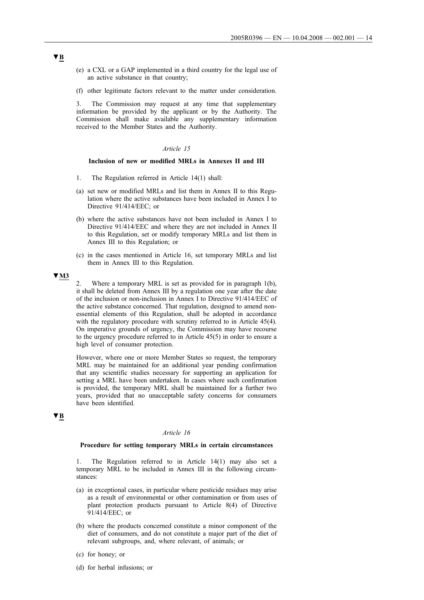- (e) a CXL or a GAP implemented in a third country for the legal use of an active substance in that country;
- (f) other legitimate factors relevant to the matter under consideration.

3. The Commission may request at any time that supplementary information be provided by the applicant or by the Authority. The Commission shall make available any supplementary information received to the Member States and the Authority.

#### *Article 15*

#### **Inclusion of new or modified MRLs in Annexes II and III**

- 1. The Regulation referred in Article 14(1) shall:
- (a) set new or modified MRLs and list them in Annex II to this Regulation where the active substances have been included in Annex I to Directive 91/414/EEC; or
- (b) where the active substances have not been included in Annex I to Directive 91/414/EEC and where they are not included in Annex II to this Regulation, set or modify temporary MRLs and list them in Annex III to this Regulation; or
- (c) in the cases mentioned in Article 16, set temporary MRLs and list them in Annex III to this Regulation.

## **▼M3**

Where a temporary MRL is set as provided for in paragraph 1(b), it shall be deleted from Annex III by a regulation one year after the date of the inclusion or non-inclusion in Annex I to Directive 91/414/EEC of the active substance concerned. That regulation, designed to amend nonessential elements of this Regulation, shall be adopted in accordance with the regulatory procedure with scrutiny referred to in Article 45(4). On imperative grounds of urgency, the Commission may have recourse to the urgency procedure referred to in Article 45(5) in order to ensure a high level of consumer protection.

However, where one or more Member States so request, the temporary MRL may be maintained for an additional year pending confirmation that any scientific studies necessary for supporting an application for setting a MRL have been undertaken. In cases where such confirmation is provided, the temporary MRL shall be maintained for a further two years, provided that no unacceptable safety concerns for consumers have been identified.

# **▼B**

## *Article 16*

#### **Procedure for setting temporary MRLs in certain circumstances**

The Regulation referred to in Article  $14(1)$  may also set a temporary MRL to be included in Annex III in the following circumstances:

- (a) in exceptional cases, in particular where pesticide residues may arise as a result of environmental or other contamination or from uses of plant protection products pursuant to Article 8(4) of Directive 91/414/EEC; or
- (b) where the products concerned constitute a minor component of the diet of consumers, and do not constitute a major part of the diet of relevant subgroups, and, where relevant, of animals; or
- (c) for honey; or
- (d) for herbal infusions; or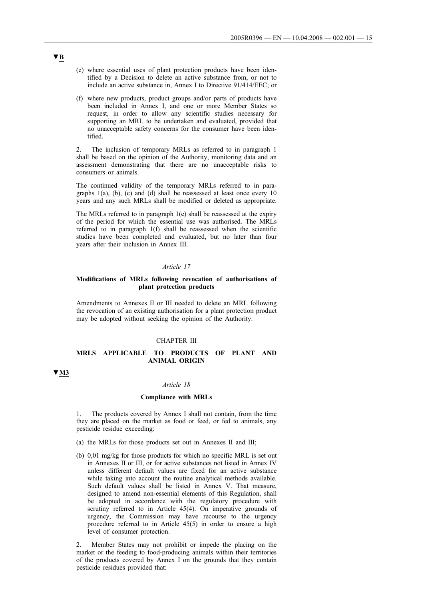- (e) where essential uses of plant protection products have been identified by a Decision to delete an active substance from, or not to include an active substance in, Annex I to Directive 91/414/EEC; or
- (f) where new products, product groups and/or parts of products have been included in Annex I, and one or more Member States so request, in order to allow any scientific studies necessary for supporting an MRL to be undertaken and evaluated, provided that no unacceptable safety concerns for the consumer have been identified.

2. The inclusion of temporary MRLs as referred to in paragraph 1 shall be based on the opinion of the Authority, monitoring data and an assessment demonstrating that there are no unacceptable risks to consumers or animals.

The continued validity of the temporary MRLs referred to in paragraphs 1(a), (b), (c) and (d) shall be reassessed at least once every 10 years and any such MRLs shall be modified or deleted as appropriate.

The MRLs referred to in paragraph 1(e) shall be reassessed at the expiry of the period for which the essential use was authorised. The MRLs referred to in paragraph 1(f) shall be reassessed when the scientific studies have been completed and evaluated, but no later than four years after their inclusion in Annex III.

#### *Article 17*

#### **Modifications of MRLs following revocation of authorisations of plant protection products**

Amendments to Annexes II or III needed to delete an MRL following the revocation of an existing authorisation for a plant protection product may be adopted without seeking the opinion of the Authority.

### CHAPTER III

### **MRLS APPLICABLE TO PRODUCTS OF PLANT AND ANIMAL ORIGIN**

## **▼M3**

## *Article 18*

#### **Compliance with MRLs**

The products covered by Annex I shall not contain, from the time they are placed on the market as food or feed, or fed to animals, any pesticide residue exceeding:

- (a) the MRLs for those products set out in Annexes II and III;
- (b) 0,01 mg/kg for those products for which no specific MRL is set out in Annexes II or III, or for active substances not listed in Annex IV unless different default values are fixed for an active substance while taking into account the routine analytical methods available. Such default values shall be listed in Annex V. That measure, designed to amend non-essential elements of this Regulation, shall be adopted in accordance with the regulatory procedure with scrutiny referred to in Article 45(4). On imperative grounds of urgency, the Commission may have recourse to the urgency procedure referred to in Article 45(5) in order to ensure a high level of consumer protection.

2. Member States may not prohibit or impede the placing on the market or the feeding to food-producing animals within their territories of the products covered by Annex I on the grounds that they contain pesticide residues provided that: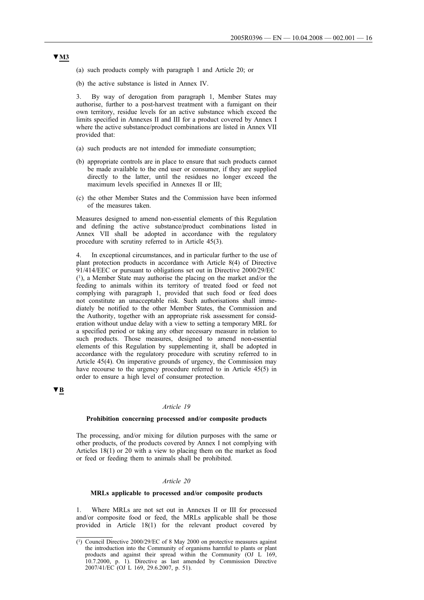- (a) such products comply with paragraph 1 and Article 20; or
- (b) the active substance is listed in Annex IV.

3. By way of derogation from paragraph 1, Member States may authorise, further to a post-harvest treatment with a fumigant on their own territory, residue levels for an active substance which exceed the limits specified in Annexes II and III for a product covered by Annex I where the active substance/product combinations are listed in Annex VII provided that:

- (a) such products are not intended for immediate consumption;
- (b) appropriate controls are in place to ensure that such products cannot be made available to the end user or consumer, if they are supplied directly to the latter, until the residues no longer exceed the maximum levels specified in Annexes II or III;
- (c) the other Member States and the Commission have been informed of the measures taken.

Measures designed to amend non-essential elements of this Regulation and defining the active substance/product combinations listed in Annex VII shall be adopted in accordance with the regulatory procedure with scrutiny referred to in Article 45(3).

In exceptional circumstances, and in particular further to the use of plant protection products in accordance with Article 8(4) of Directive 91/414/EEC or pursuant to obligations set out in Directive 2000/29/EC  $(1)$ , a Member State may authorise the placing on the market and/or the feeding to animals within its territory of treated food or feed not complying with paragraph 1, provided that such food or feed does not constitute an unacceptable risk. Such authorisations shall immediately be notified to the other Member States, the Commission and the Authority, together with an appropriate risk assessment for consideration without undue delay with a view to setting a temporary MRL for a specified period or taking any other necessary measure in relation to such products. Those measures, designed to amend non-essential elements of this Regulation by supplementing it, shall be adopted in accordance with the regulatory procedure with scrutiny referred to in Article 45(4). On imperative grounds of urgency, the Commission may have recourse to the urgency procedure referred to in Article 45(5) in order to ensure a high level of consumer protection.

## **▼B**

### *Article 19*

#### **Prohibition concerning processed and/or composite products**

The processing, and/or mixing for dilution purposes with the same or other products, of the products covered by Annex I not complying with Articles 18(1) or 20 with a view to placing them on the market as food or feed or feeding them to animals shall be prohibited.

## *Article 20*

#### **MRLs applicable to processed and/or composite products**

1. Where MRLs are not set out in Annexes II or III for processed and/or composite food or feed, the MRLs applicable shall be those provided in Article 18(1) for the relevant product covered by

<sup>(1)</sup> Council Directive 2000/29/EC of 8 May 2000 on protective measures against the introduction into the Community of organisms harmful to plants or plant products and against their spread within the Community (OJ L 169, 10.7.2000, p. 1). Directive as last amended by Commission Directive 2007/41/EC (OJ L 169, 29.6.2007, p. 51).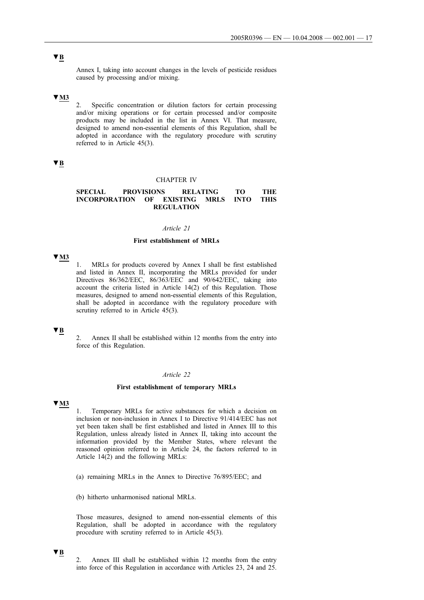Annex I, taking into account changes in the levels of pesticide residues caused by processing and/or mixing.

## **▼M3**

2. Specific concentration or dilution factors for certain processing and/or mixing operations or for certain processed and/or composite products may be included in the list in Annex VI. That measure, designed to amend non-essential elements of this Regulation, shall be adopted in accordance with the regulatory procedure with scrutiny referred to in Article 45(3).

## **▼B**

#### CHAPTER IV

### **SPECIAL PROVISIONS RELATING TO THE INCORPORATION OF EXISTING MRLS INTO THIS REGULATION**

### *Article 21*

## **First establishment of MRLs**

#### **▼M3**

1. MRLs for products covered by Annex I shall be first established and listed in Annex II, incorporating the MRLs provided for under Directives 86/362/EEC, 86/363/EEC and 90/642/EEC, taking into account the criteria listed in Article 14(2) of this Regulation. Those measures, designed to amend non-essential elements of this Regulation, shall be adopted in accordance with the regulatory procedure with scrutiny referred to in Article 45(3).

## **▼B**

2. Annex II shall be established within 12 months from the entry into force of this Regulation.

## *Article 22*

#### **First establishment of temporary MRLs**

## **▼M3**

1. Temporary MRLs for active substances for which a decision on inclusion or non-inclusion in Annex I to Directive 91/414/EEC has not yet been taken shall be first established and listed in Annex III to this Regulation, unless already listed in Annex II, taking into account the information provided by the Member States, where relevant the reasoned opinion referred to in Article 24, the factors referred to in Article 14(2) and the following MRLs:

(a) remaining MRLs in the Annex to Directive 76/895/EEC; and

(b) hitherto unharmonised national MRLs.

Those measures, designed to amend non-essential elements of this Regulation, shall be adopted in accordance with the regulatory procedure with scrutiny referred to in Article 45(3).

## **▼B**

<sup>2.</sup> Annex III shall be established within 12 months from the entry into force of this Regulation in accordance with Articles 23, 24 and 25.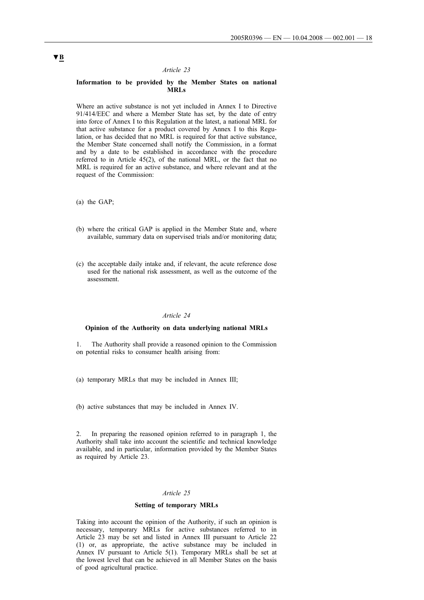#### *Article 23*

### **Information to be provided by the Member States on national MRLs**

Where an active substance is not yet included in Annex I to Directive 91/414/EEC and where a Member State has set, by the date of entry into force of Annex I to this Regulation at the latest, a national MRL for that active substance for a product covered by Annex I to this Regulation, or has decided that no MRL is required for that active substance, the Member State concerned shall notify the Commission, in a format and by a date to be established in accordance with the procedure referred to in Article 45(2), of the national MRL, or the fact that no MRL is required for an active substance, and where relevant and at the request of the Commission:

(a) the GAP;

- (b) where the critical GAP is applied in the Member State and, where available, summary data on supervised trials and/or monitoring data;
- (c) the acceptable daily intake and, if relevant, the acute reference dose used for the national risk assessment, as well as the outcome of the assessment.

#### *Article 24*

#### **Opinion of the Authority on data underlying national MRLs**

1. The Authority shall provide a reasoned opinion to the Commission on potential risks to consumer health arising from:

- (a) temporary MRLs that may be included in Annex III;
- (b) active substances that may be included in Annex IV.

In preparing the reasoned opinion referred to in paragraph 1, the Authority shall take into account the scientific and technical knowledge available, and in particular, information provided by the Member States as required by Article 23.

### *Article 25*

### **Setting of temporary MRLs**

Taking into account the opinion of the Authority, if such an opinion is necessary, temporary MRLs for active substances referred to in Article 23 may be set and listed in Annex III pursuant to Article 22 (1) or, as appropriate, the active substance may be included in Annex IV pursuant to Article 5(1). Temporary MRLs shall be set at the lowest level that can be achieved in all Member States on the basis of good agricultural practice.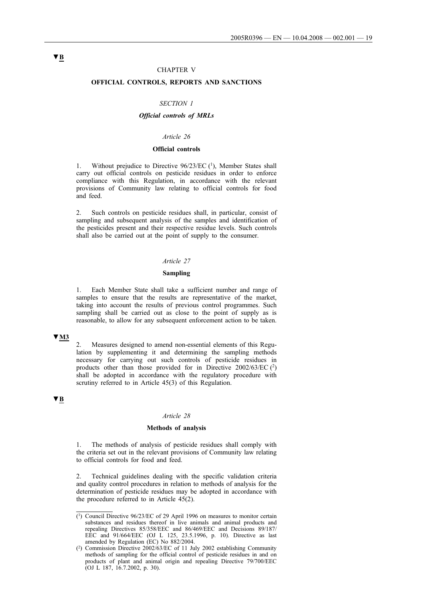#### CHAPTER V

## **OFFICIAL CONTROLS, REPORTS AND SANCTIONS**

#### *SECTION 1*

## *Official controls of MRLs*

#### *Article 26*

#### **Official controls**

1. Without prejudice to Directive 96/23/EC (1), Member States shall carry out official controls on pesticide residues in order to enforce compliance with this Regulation, in accordance with the relevant provisions of Community law relating to official controls for food and feed.

2. Such controls on pesticide residues shall, in particular, consist of sampling and subsequent analysis of the samples and identification of the pesticides present and their respective residue levels. Such controls shall also be carried out at the point of supply to the consumer.

#### *Article 27*

#### **Sampling**

Each Member State shall take a sufficient number and range of samples to ensure that the results are representative of the market, taking into account the results of previous control programmes. Such sampling shall be carried out as close to the point of supply as is reasonable, to allow for any subsequent enforcement action to be taken.

#### **▼M3**

2. Measures designed to amend non-essential elements of this Regulation by supplementing it and determining the sampling methods necessary for carrying out such controls of pesticide residues in products other than those provided for in Directive 2002/63/EC (2) shall be adopted in accordance with the regulatory procedure with scrutiny referred to in Article 45(3) of this Regulation.

#### **▼B**

#### *Article 28*

#### **Methods of analysis**

1. The methods of analysis of pesticide residues shall comply with the criteria set out in the relevant provisions of Community law relating to official controls for food and feed.

2. Technical guidelines dealing with the specific validation criteria and quality control procedures in relation to methods of analysis for the determination of pesticide residues may be adopted in accordance with the procedure referred to in Article 45(2).

<sup>(1)</sup> Council Directive 96/23/EC of 29 April 1996 on measures to monitor certain substances and residues thereof in live animals and animal products and repealing Directives 85/358/EEC and 86/469/EEC and Decisions 89/187/ EEC and 91/664/EEC (OJ L 125, 23.5.1996, p. 10). Directive as last amended by Regulation (EC) No 882/2004.

<sup>(2)</sup> Commission Directive 2002/63/EC of 11 July 2002 establishing Community methods of sampling for the official control of pesticide residues in and on products of plant and animal origin and repealing Directive 79/700/EEC (OJ L 187, 16.7.2002, p. 30).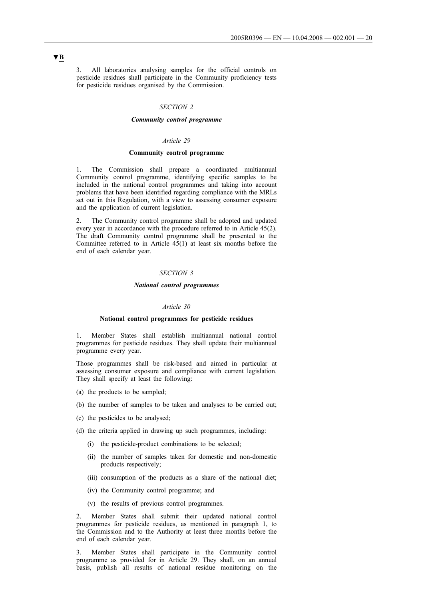3. All laboratories analysing samples for the official controls on pesticide residues shall participate in the Community proficiency tests for pesticide residues organised by the Commission.

### *SECTION 2*

#### *Community control programme*

#### *Article 29*

## **Community control programme**

1. The Commission shall prepare a coordinated multiannual Community control programme, identifying specific samples to be included in the national control programmes and taking into account problems that have been identified regarding compliance with the MRLs set out in this Regulation, with a view to assessing consumer exposure and the application of current legislation.

2. The Community control programme shall be adopted and updated every year in accordance with the procedure referred to in Article 45(2). The draft Community control programme shall be presented to the Committee referred to in Article 45(1) at least six months before the end of each calendar year.

#### *SECTION 3*

#### *National control programmes*

#### *Article 30*

#### **National control programmes for pesticide residues**

1. Member States shall establish multiannual national control programmes for pesticide residues. They shall update their multiannual programme every year.

Those programmes shall be risk-based and aimed in particular at assessing consumer exposure and compliance with current legislation. They shall specify at least the following:

- (a) the products to be sampled;
- (b) the number of samples to be taken and analyses to be carried out;
- (c) the pesticides to be analysed;
- (d) the criteria applied in drawing up such programmes, including:
	- (i) the pesticide-product combinations to be selected;
	- (ii) the number of samples taken for domestic and non-domestic products respectively;
	- (iii) consumption of the products as a share of the national diet;
	- (iv) the Community control programme; and
	- (v) the results of previous control programmes.

2. Member States shall submit their updated national control programmes for pesticide residues, as mentioned in paragraph 1, to the Commission and to the Authority at least three months before the end of each calendar year.

3. Member States shall participate in the Community control programme as provided for in Article 29. They shall, on an annual basis, publish all results of national residue monitoring on the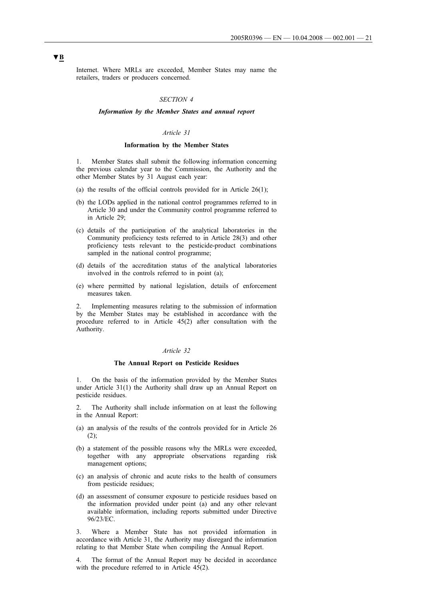Internet. Where MRLs are exceeded, Member States may name the retailers, traders or producers concerned.

#### *SECTION 4*

#### *Information by the Member States and annual report*

## *Article 31*

#### **Information by the Member States**

1. Member States shall submit the following information concerning the previous calendar year to the Commission, the Authority and the other Member States by 31 August each year:

- (a) the results of the official controls provided for in Article  $26(1)$ ;
- (b) the LODs applied in the national control programmes referred to in Article 30 and under the Community control programme referred to in Article 29;
- (c) details of the participation of the analytical laboratories in the Community proficiency tests referred to in Article 28(3) and other proficiency tests relevant to the pesticide-product combinations sampled in the national control programme;
- (d) details of the accreditation status of the analytical laboratories involved in the controls referred to in point (a);
- (e) where permitted by national legislation, details of enforcement measures taken.

2. Implementing measures relating to the submission of information by the Member States may be established in accordance with the procedure referred to in Article 45(2) after consultation with the Authority.

#### *Article 32*

#### **The Annual Report on Pesticide Residues**

1. On the basis of the information provided by the Member States under Article 31(1) the Authority shall draw up an Annual Report on pesticide residues.

The Authority shall include information on at least the following in the Annual Report:

- (a) an analysis of the results of the controls provided for in Article 26  $(2)$ :
- (b) a statement of the possible reasons why the MRLs were exceeded, together with any appropriate observations regarding risk management options;
- (c) an analysis of chronic and acute risks to the health of consumers from pesticide residues;
- (d) an assessment of consumer exposure to pesticide residues based on the information provided under point (a) and any other relevant available information, including reports submitted under Directive 96/23/EC.

3. Where a Member State has not provided information in accordance with Article 31, the Authority may disregard the information relating to that Member State when compiling the Annual Report.

4. The format of the Annual Report may be decided in accordance with the procedure referred to in Article 45(2).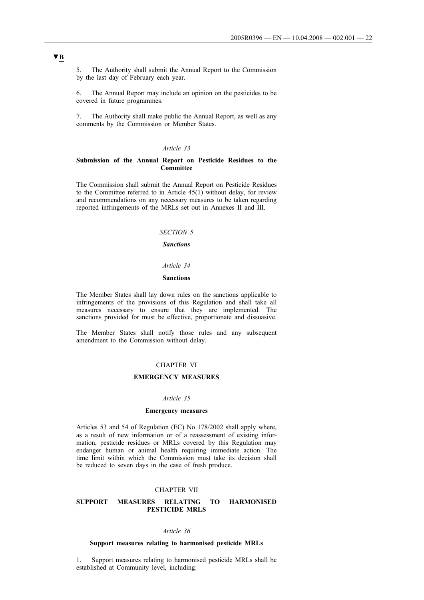5. The Authority shall submit the Annual Report to the Commission by the last day of February each year.

6. The Annual Report may include an opinion on the pesticides to be covered in future programmes.

7. The Authority shall make public the Annual Report, as well as any comments by the Commission or Member States.

## *Article 33*

### **Submission of the Annual Report on Pesticide Residues to the Committee**

The Commission shall submit the Annual Report on Pesticide Residues to the Committee referred to in Article  $45(1)$  without delay, for review and recommendations on any necessary measures to be taken regarding reported infringements of the MRLs set out in Annexes II and III.

## *SECTION 5*

## *Sanctions*

### *Article 34*

### **Sanctions**

The Member States shall lay down rules on the sanctions applicable to infringements of the provisions of this Regulation and shall take all measures necessary to ensure that they are implemented. The sanctions provided for must be effective, proportionate and dissuasive.

The Member States shall notify those rules and any subsequent amendment to the Commission without delay.

## CHAPTER VI

#### **EMERGENCY MEASURES**

#### *Article 35*

### **Emergency measures**

Articles 53 and 54 of Regulation (EC) No 178/2002 shall apply where, as a result of new information or of a reassessment of existing information, pesticide residues or MRLs covered by this Regulation may endanger human or animal health requiring immediate action. The time limit within which the Commission must take its decision shall be reduced to seven days in the case of fresh produce.

#### CHAPTER VII

### **SUPPORT MEASURES RELATING TO HARMONISED PESTICIDE MRLS**

#### *Article 36*

#### **Support measures relating to harmonised pesticide MRLs**

1. Support measures relating to harmonised pesticide MRLs shall be established at Community level, including: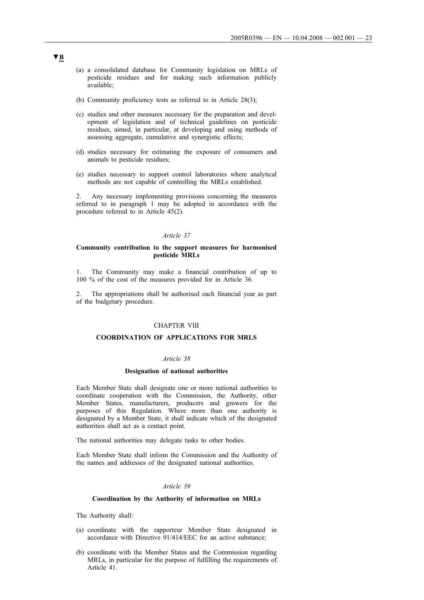- (a) a consolidated database for Community legislation on MRLs of pesticide residues and for making such information publicly available;
- (b) Community proficiency tests as referred to in Article 28(3);
- (c) studies and other measures necessary for the preparation and development of legislation and of technical guidelines on pesticide residues, aimed, in particular, at developing and using methods of assessing aggregate, cumulative and synergistic effects;
- (d) studies necessary for estimating the exposure of consumers and animals to pesticide residues;
- (e) studies necessary to support control laboratories where analytical methods are not capable of controlling the MRLs established.

2. Any necessary implementing provisions concerning the measures referred to in paragraph 1 may be adopted in accordance with the procedure referred to in Article 45(2).

#### *Article 37*

### **Community contribution to the support measures for harmonised pesticide MRLs**

1. The Community may make a financial contribution of up to 100 % of the cost of the measures provided for in Article 36.

2. The appropriations shall be authorised each financial year as part of the budgetary procedure.

### CHAPTER VIII

#### **COORDINATION OF APPLICATIONS FOR MRLS**

## *Article 38*

#### **Designation of national authorities**

Each Member State shall designate one or more national authorities to coordinate cooperation with the Commission, the Authority, other Member States, manufacturers, producers and growers for the purposes of this Regulation. Where more than one authority is designated by a Member State, it shall indicate which of the designated authorities shall act as a contact point.

The national authorities may delegate tasks to other bodies.

Each Member State shall inform the Commission and the Authority of the names and addresses of the designated national authorities.

#### *Article 39*

#### **Coordination by the Authority of information on MRLs**

The Authority shall:

- (a) coordinate with the rapporteur Member State designated in accordance with Directive 91/414/EEC for an active substance;
- (b) coordinate with the Member States and the Commission regarding MRLs, in particular for the purpose of fulfilling the requirements of Article 41.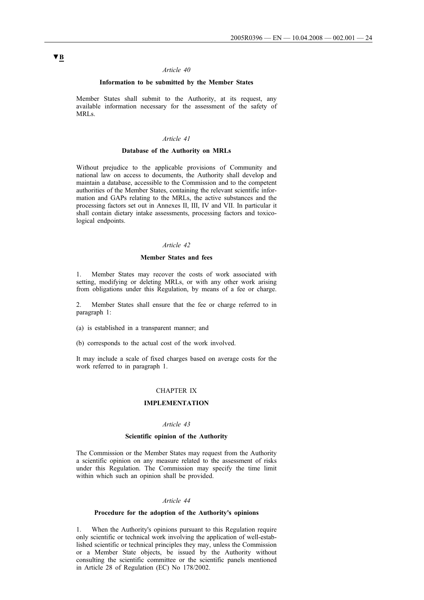#### *Article 40*

### **Information to be submitted by the Member States**

Member States shall submit to the Authority, at its request, any available information necessary for the assessment of the safety of MRLs.

### *Article 41*

### **Database of the Authority on MRLs**

Without prejudice to the applicable provisions of Community and national law on access to documents, the Authority shall develop and maintain a database, accessible to the Commission and to the competent authorities of the Member States, containing the relevant scientific information and GAPs relating to the MRLs, the active substances and the processing factors set out in Annexes II, III, IV and VII. In particular it shall contain dietary intake assessments, processing factors and toxicological endpoints.

### *Article 42*

#### **Member States and fees**

1. Member States may recover the costs of work associated with setting, modifying or deleting MRLs, or with any other work arising from obligations under this Regulation, by means of a fee or charge.

2. Member States shall ensure that the fee or charge referred to in paragraph 1:

(a) is established in a transparent manner; and

(b) corresponds to the actual cost of the work involved.

It may include a scale of fixed charges based on average costs for the work referred to in paragraph 1.

### CHAPTER IX

## **IMPLEMENTATION**

### *Article 43*

### **Scientific opinion of the Authority**

The Commission or the Member States may request from the Authority a scientific opinion on any measure related to the assessment of risks under this Regulation. The Commission may specify the time limit within which such an opinion shall be provided.

#### *Article 44*

#### **Procedure for the adoption of the Authority's opinions**

1. When the Authority's opinions pursuant to this Regulation require only scientific or technical work involving the application of well-established scientific or technical principles they may, unless the Commission or a Member State objects, be issued by the Authority without consulting the scientific committee or the scientific panels mentioned in Article 28 of Regulation (EC) No 178/2002.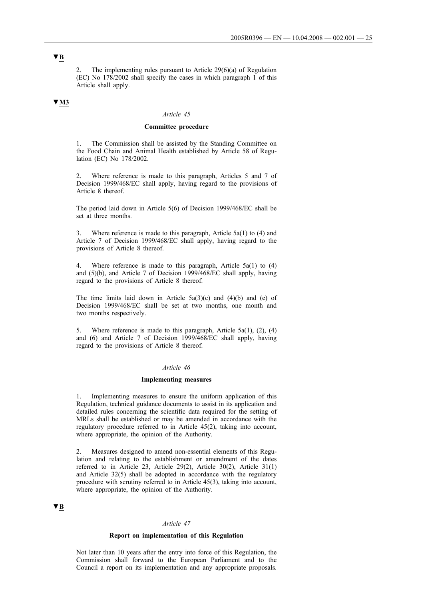2. The implementing rules pursuant to Article 29(6)(a) of Regulation (EC) No 178/2002 shall specify the cases in which paragraph 1 of this Article shall apply.

## **▼M3**

#### *Article 45*

#### **Committee procedure**

The Commission shall be assisted by the Standing Committee on the Food Chain and Animal Health established by Article 58 of Regulation (EC) No 178/2002.

Where reference is made to this paragraph, Articles 5 and 7 of Decision 1999/468/EC shall apply, having regard to the provisions of Article 8 thereof.

The period laid down in Article 5(6) of Decision 1999/468/EC shall be set at three months.

3. Where reference is made to this paragraph, Article 5a(1) to (4) and Article 7 of Decision 1999/468/EC shall apply, having regard to the provisions of Article 8 thereof.

4. Where reference is made to this paragraph, Article 5a(1) to (4) and (5)(b), and Article 7 of Decision 1999/468/EC shall apply, having regard to the provisions of Article 8 thereof.

The time limits laid down in Article  $5a(3)(c)$  and  $(4)(b)$  and  $(e)$  of Decision 1999/468/EC shall be set at two months, one month and two months respectively.

5. Where reference is made to this paragraph, Article 5a(1), (2), (4) and (6) and Article 7 of Decision 1999/468/EC shall apply, having regard to the provisions of Article 8 thereof.

#### *Article 46*

#### **Implementing measures**

1. Implementing measures to ensure the uniform application of this Regulation, technical guidance documents to assist in its application and detailed rules concerning the scientific data required for the setting of MRLs shall be established or may be amended in accordance with the regulatory procedure referred to in Article 45(2), taking into account, where appropriate, the opinion of the Authority.

2. Measures designed to amend non-essential elements of this Regulation and relating to the establishment or amendment of the dates referred to in Article 23, Article 29(2), Article 30(2), Article 31(1) and Article 32(5) shall be adopted in accordance with the regulatory procedure with scrutiny referred to in Article 45(3), taking into account, where appropriate, the opinion of the Authority.

## **▼B**

#### *Article 47*

### **Report on implementation of this Regulation**

Not later than 10 years after the entry into force of this Regulation, the Commission shall forward to the European Parliament and to the Council a report on its implementation and any appropriate proposals.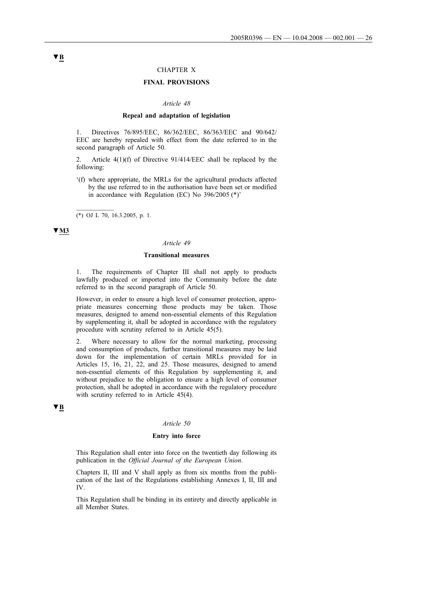### CHAPTER X

## **FINAL PROVISIONS**

#### *Article 48*

#### **Repeal and adaptation of legislation**

1. Directives 76/895/EEC, 86/362/EEC, 86/363/EEC and 90/642/ EEC are hereby repealed with effect from the date referred to in the second paragraph of Article 50.

Article  $4(1)(f)$  of Directive 91/414/EEC shall be replaced by the following:

'(f) where appropriate, the MRLs for the agricultural products affected by the use referred to in the authorisation have been set or modified in accordance with Regulation (EC) No 396/2005 (\*)'

(\*) OJ L 70, 16.3.2005, p. 1.

 $\overline{\phantom{a}}$ 

## **▼M3**

#### *Article 49*

### **Transitional measures**

1. The requirements of Chapter III shall not apply to products lawfully produced or imported into the Community before the date referred to in the second paragraph of Article 50.

However, in order to ensure a high level of consumer protection, appropriate measures concerning those products may be taken. Those measures, designed to amend non-essential elements of this Regulation by supplementing it, shall be adopted in accordance with the regulatory procedure with scrutiny referred to in Article 45(5).

2. Where necessary to allow for the normal marketing, processing and consumption of products, further transitional measures may be laid down for the implementation of certain MRLs provided for in Articles 15, 16, 21, 22, and 25. Those measures, designed to amend non-essential elements of this Regulation by supplementing it, and without prejudice to the obligation to ensure a high level of consumer protection, shall be adopted in accordance with the regulatory procedure with scrutiny referred to in Article 45(4).

## **▼B**

#### *Article 50*

#### **Entry into force**

This Regulation shall enter into force on the twentieth day following its publication in the *Official Journal of the European Union*.

Chapters II, III and V shall apply as from six months from the publication of the last of the Regulations establishing Annexes I, II, III and IV.

This Regulation shall be binding in its entirety and directly applicable in all Member States.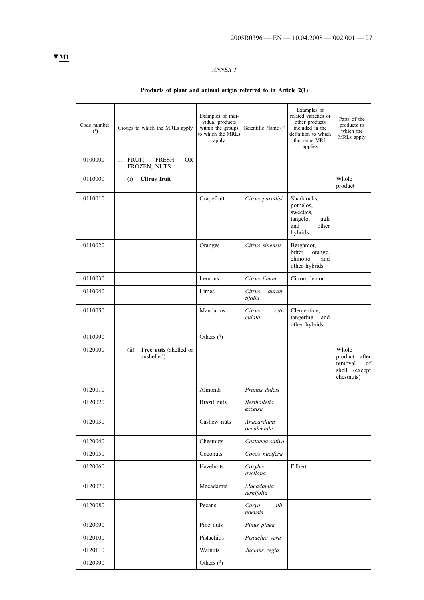# *ANNEX I*

# **Products of plant and animal origin referred to in Article 2(1)**

| Code number<br>(1) | Groups to which the MRLs apply                        | Examples of indi-<br>vidual products<br>within the groups<br>to which the MRLs<br>apply | Scientific Name (2)            | Examples of<br>related varieties or<br>other products<br>included in the<br>definition to which<br>the same MRL<br>applies | Parts of the<br>products to<br>which the<br>MRLs apply                    |
|--------------------|-------------------------------------------------------|-----------------------------------------------------------------------------------------|--------------------------------|----------------------------------------------------------------------------------------------------------------------------|---------------------------------------------------------------------------|
| 0100000            | 1. FRUIT<br><b>FRESH</b><br><b>OR</b><br>FROZEN; NUTS |                                                                                         |                                |                                                                                                                            |                                                                           |
| 0110000            | Citrus fruit<br>(i)                                   |                                                                                         |                                |                                                                                                                            | Whole<br>product                                                          |
| 0110010            |                                                       | Grapefruit                                                                              | Citrus paradisi                | Shaddocks,<br>pomelos,<br>sweeties,<br>tangelo,<br>ugli<br>and<br>other<br>hybrids                                         |                                                                           |
| 0110020            |                                                       | Oranges                                                                                 | Citrus sinensis                | Bergamot,<br>bitter<br>orange,<br>chinotto<br>and<br>other hybrids                                                         |                                                                           |
| 0110030            |                                                       | Lemons                                                                                  | Citrus limon                   | Citron, lemon                                                                                                              |                                                                           |
| 0110040            |                                                       | Limes                                                                                   | Citrus<br>auran-<br>tifolia    |                                                                                                                            |                                                                           |
| 0110050            |                                                       | Mandarins                                                                               | Citrus<br>reti-<br>culata      | Clementine,<br>tangerine<br>and<br>other hybrids                                                                           |                                                                           |
| 0110990            |                                                       | Others $(^3)$                                                                           |                                |                                                                                                                            |                                                                           |
| 0120000            | Tree nuts (shelled or<br>(ii)<br>unshelled)           |                                                                                         |                                |                                                                                                                            | Whole<br>product<br>after<br>removal<br>of<br>shell (except<br>chestnuts) |
| 0120010            |                                                       | Almonds                                                                                 | Prunus dulcis                  |                                                                                                                            |                                                                           |
| 0120020            |                                                       | Brazil nuts                                                                             | <b>Bertholletia</b><br>excelsa |                                                                                                                            |                                                                           |
| 0120030            |                                                       | Cashew nuts                                                                             | Anacardium<br>occidentale      |                                                                                                                            |                                                                           |
| 0120040            |                                                       | Chestnuts                                                                               | Castanea sativa                |                                                                                                                            |                                                                           |
| 0120050            |                                                       | Coconuts                                                                                | Cocos nucifera                 |                                                                                                                            |                                                                           |
| 0120060            |                                                       | Hazelnuts                                                                               | Corylus<br>avellana            | Filbert                                                                                                                    |                                                                           |
| 0120070            |                                                       | Macadamia                                                                               | Macadamia<br>ternifolia        |                                                                                                                            |                                                                           |
| 0120080            |                                                       | Pecans                                                                                  | Carya<br>illi-<br>noensis      |                                                                                                                            |                                                                           |
| 0120090            |                                                       | Pine nuts                                                                               | Pinus pinea                    |                                                                                                                            |                                                                           |
| 0120100            |                                                       | Pistachios                                                                              | Pistachia vera                 |                                                                                                                            |                                                                           |
| 0120110            |                                                       | Walnuts                                                                                 | Juglans regia                  |                                                                                                                            |                                                                           |
| 0120990            |                                                       | Others $(3)$                                                                            |                                |                                                                                                                            |                                                                           |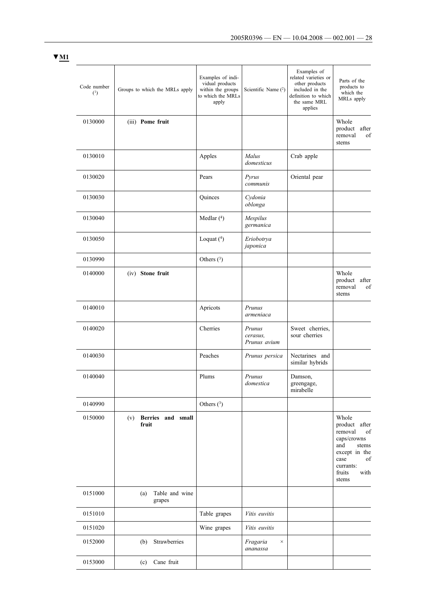| Code number<br>(1) | Groups to which the MRLs apply  | Examples of indi-<br>vidual products<br>within the groups<br>to which the MRLs<br>apply | Scientific Name (2)                | Examples of<br>related varieties or<br>other products<br>included in the<br>definition to which<br>the same MRL<br>applies | Parts of the<br>products to<br>which the<br>MRLs apply                                                                                        |
|--------------------|---------------------------------|-----------------------------------------------------------------------------------------|------------------------------------|----------------------------------------------------------------------------------------------------------------------------|-----------------------------------------------------------------------------------------------------------------------------------------------|
| 0130000            | (iii) Pome fruit                |                                                                                         |                                    |                                                                                                                            | Whole<br>product after<br>removal<br>of<br>stems                                                                                              |
| 0130010            |                                 | Apples                                                                                  | Malus<br>domesticus                | Crab apple                                                                                                                 |                                                                                                                                               |
| 0130020            |                                 | Pears                                                                                   | Pyrus<br>communis                  | Oriental pear                                                                                                              |                                                                                                                                               |
| 0130030            |                                 | Quinces                                                                                 | Cydonia<br>oblonga                 |                                                                                                                            |                                                                                                                                               |
| 0130040            |                                 | Medlar $(4)$                                                                            | Mespilus<br>germanica              |                                                                                                                            |                                                                                                                                               |
| 0130050            |                                 | Loquat $(4)$                                                                            | Eriobotrya<br>japonica             |                                                                                                                            |                                                                                                                                               |
| 0130990            |                                 | Others $(3)$                                                                            |                                    |                                                                                                                            |                                                                                                                                               |
| 0140000            | (iv) Stone fruit                |                                                                                         |                                    |                                                                                                                            | Whole<br>product after<br>removal<br>of<br>stems                                                                                              |
| 0140010            |                                 | Apricots                                                                                | Prunus<br>armeniaca                |                                                                                                                            |                                                                                                                                               |
| 0140020            |                                 | Cherries                                                                                | Prunus<br>cerasus,<br>Prunus avium | Sweet cherries,<br>sour cherries                                                                                           |                                                                                                                                               |
| 0140030            |                                 | Peaches                                                                                 | Prunus persica                     | Nectarines and<br>similar hybrids                                                                                          |                                                                                                                                               |
| 0140040            |                                 | Plums                                                                                   | Prunus<br>domestica                | Damson,<br>greengage,<br>mirabelle                                                                                         |                                                                                                                                               |
| 0140990            |                                 | Others $(3)$                                                                            |                                    |                                                                                                                            |                                                                                                                                               |
| 0150000            | (v) Berries and small<br>fruit  |                                                                                         |                                    |                                                                                                                            | Whole<br>product after<br>removal<br>of<br>caps/crowns<br>and<br>stems<br>except in the<br>case<br>of<br>currants:<br>with<br>fruits<br>stems |
| 0151000            | Table and wine<br>(a)<br>grapes |                                                                                         |                                    |                                                                                                                            |                                                                                                                                               |
| 0151010            |                                 | Table grapes                                                                            | Vitis euvitis                      |                                                                                                                            |                                                                                                                                               |
| 0151020            |                                 | Wine grapes                                                                             | Vitis euvitis                      |                                                                                                                            |                                                                                                                                               |
| 0152000            | Strawberries<br>(b)             |                                                                                         | Fragaria<br>$\times$<br>ananassa   |                                                                                                                            |                                                                                                                                               |
| 0153000            | Cane fruit<br>(c)               |                                                                                         |                                    |                                                                                                                            |                                                                                                                                               |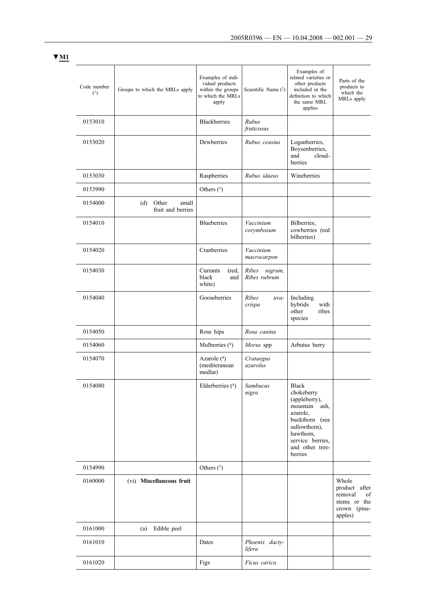| Code number<br>(1) | Groups to which the MRLs apply             | Examples of indi-<br>vidual products<br>within the groups<br>to which the MRLs<br>apply | Scientific Name $(2)$            | Examples of<br>related varieties or<br>other products<br>included in the<br>definition to which<br>the same MRL<br>applies                                          | Parts of the<br>products to<br>which the<br>MRLs apply                             |
|--------------------|--------------------------------------------|-----------------------------------------------------------------------------------------|----------------------------------|---------------------------------------------------------------------------------------------------------------------------------------------------------------------|------------------------------------------------------------------------------------|
| 0153010            |                                            | <b>Blackberries</b>                                                                     | Rubus<br>fruticosus              |                                                                                                                                                                     |                                                                                    |
| 0153020            |                                            | Dewberries                                                                              | Rubus ceasius                    | Loganberries,<br>Boysenberries,<br>cloud-<br>and<br>berries                                                                                                         |                                                                                    |
| 0153030            |                                            | Raspberries                                                                             | Rubus idaeus                     | Wineberries                                                                                                                                                         |                                                                                    |
| 0153990            |                                            | Others $(3)$                                                                            |                                  |                                                                                                                                                                     |                                                                                    |
| 0154000            | Other<br>small<br>(d)<br>fruit and berries |                                                                                         |                                  |                                                                                                                                                                     |                                                                                    |
| 0154010            |                                            | <b>Blueberries</b>                                                                      | Vaccinium<br>corymbosum          | Bilberries;<br>cowberries (red<br>bilberries)                                                                                                                       |                                                                                    |
| 0154020            |                                            | Cranberries                                                                             | Vaccinium<br>macrocarpon         |                                                                                                                                                                     |                                                                                    |
| 0154030            |                                            | Currants<br>(red.)<br>black<br>and<br>white)                                            | Ribes<br>nigrum,<br>Ribes rubrum |                                                                                                                                                                     |                                                                                    |
| 0154040            |                                            | Gooseberries                                                                            | Ribes<br>uva-<br>crispa          | Including<br>hybrids<br>with<br>other<br>ribes<br>species                                                                                                           |                                                                                    |
| 0154050            |                                            | Rose hips                                                                               | Rosa canina                      |                                                                                                                                                                     |                                                                                    |
| 0154060            |                                            | Mulberries $(4)$                                                                        | Morus spp                        | Arbutus berry                                                                                                                                                       |                                                                                    |
| 0154070            |                                            | Azarole $(4)$<br>(mediteranean<br>medlar)                                               | Crataegus<br>azarolus            |                                                                                                                                                                     |                                                                                    |
| 0154080            |                                            | Elderberries (4)                                                                        | Sambucus<br>nigra                | Black<br>chokeberry<br>(appleberry),<br>mountain ash,<br>azarole,<br>buckthorn (sea<br>sallowthorn),<br>hawthorn,<br>service berries,<br>and other tree-<br>berries |                                                                                    |
| 0154990            |                                            | Others $(3)$                                                                            |                                  |                                                                                                                                                                     |                                                                                    |
| 0160000            | (vi) Miscellaneous fruit                   |                                                                                         |                                  |                                                                                                                                                                     | Whole<br>product after<br>removal<br>of<br>stems or the<br>crown (pine-<br>apples) |
| 0161000            | Edible peel<br>(a)                         |                                                                                         |                                  |                                                                                                                                                                     |                                                                                    |
| 0161010            |                                            | Dates                                                                                   | Phoenix dacty-<br>lifera         |                                                                                                                                                                     |                                                                                    |
| 0161020            |                                            | Figs                                                                                    | Ficus carica                     |                                                                                                                                                                     |                                                                                    |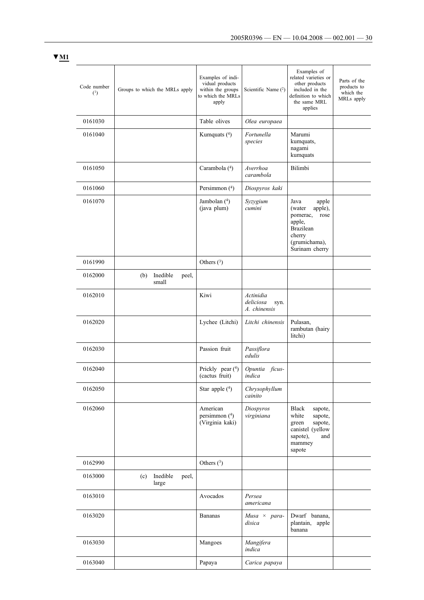| Code number<br>(1) | Groups to which the MRLs apply    | Examples of indi-<br>vidual products<br>within the groups<br>to which the MRLs<br>apply | Scientific Name $(2)$                          | Examples of<br>related varieties or<br>other products<br>included in the<br>definition to which<br>the same MRL<br>applies         | Parts of the<br>products to<br>which the<br>MRLs apply |
|--------------------|-----------------------------------|-----------------------------------------------------------------------------------------|------------------------------------------------|------------------------------------------------------------------------------------------------------------------------------------|--------------------------------------------------------|
| 0161030            |                                   | Table olives                                                                            | Olea europaea                                  |                                                                                                                                    |                                                        |
| 0161040            |                                   | Kumquats $(4)$                                                                          | Fortunella<br>species                          | Marumi<br>kumquats,<br>nagami<br>kumquats                                                                                          |                                                        |
| 0161050            |                                   | Carambola (4)                                                                           | Averrhoa<br>carambola                          | Bilimbi                                                                                                                            |                                                        |
| 0161060            |                                   | Persimmon (4)                                                                           | Diospyros kaki                                 |                                                                                                                                    |                                                        |
| 0161070            |                                   | Jambolan $(4)$<br>(java plum)                                                           | Syzygium<br>cumini                             | Java<br>apple<br>apple),<br>(water)<br>pomerac,<br>rose<br>apple,<br><b>Brazilean</b><br>cherry<br>(grumichama),<br>Surinam cherry |                                                        |
| 0161990            |                                   | Others $(3)$                                                                            |                                                |                                                                                                                                    |                                                        |
| 0162000            | Inedible<br>(b)<br>peel,<br>small |                                                                                         |                                                |                                                                                                                                    |                                                        |
| 0162010            |                                   | Kiwi                                                                                    | Actinidia<br>deliciosa<br>syn.<br>A. chinensis |                                                                                                                                    |                                                        |
| 0162020            |                                   | Lychee (Litchi)                                                                         | Litchi chinensis                               | Pulasan,<br>rambutan (hairy<br>litchi)                                                                                             |                                                        |
| 0162030            |                                   | Passion fruit                                                                           | Passiflora<br>edulis                           |                                                                                                                                    |                                                        |
| 0162040            |                                   | Prickly pear (4)<br>(cactus fruit)                                                      | Opuntia ficus-<br>indica                       |                                                                                                                                    |                                                        |
| 0162050            |                                   | Star apple $(4)$                                                                        | Chrysophyllum<br>cainito                       |                                                                                                                                    |                                                        |
| 0162060            |                                   | American<br>persimmon (4)<br>(Virginia kaki)                                            | Diospyros<br>virginiana                        | <b>Black</b><br>sapote,<br>white<br>sapote,<br>sapote,<br>green<br>canistel (yellow<br>sapote),<br>and<br>mammey<br>sapote         |                                                        |
| 0162990            |                                   | Others $(3)$                                                                            |                                                |                                                                                                                                    |                                                        |
| 0163000            | Inedible<br>(c)<br>peel,<br>large |                                                                                         |                                                |                                                                                                                                    |                                                        |
| 0163010            |                                   | Avocados                                                                                | Persea<br>americana                            |                                                                                                                                    |                                                        |
| 0163020            |                                   | <b>Bananas</b>                                                                          | $Musa \times para$ -<br>disica                 | Dwarf banana,<br>plantain, apple<br>banana                                                                                         |                                                        |
| 0163030            |                                   | Mangoes                                                                                 | Mangifera<br>indica                            |                                                                                                                                    |                                                        |
| 0163040            |                                   | Papaya                                                                                  | Carica papaya                                  |                                                                                                                                    |                                                        |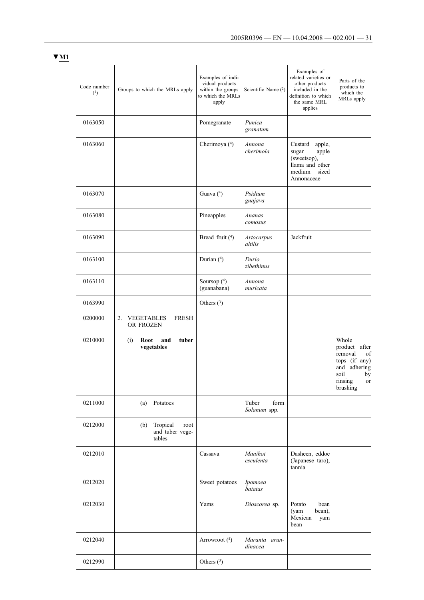| Code number<br>(1) | Groups to which the MRLs apply                       | Examples of indi-<br>vidual products<br>within the groups<br>to which the MRLs<br>apply | Scientific Name $(2)$         | Examples of<br>related varieties or<br>other products<br>included in the<br>definition to which<br>the same MRL<br>applies | Parts of the<br>products to<br>which the<br>MRLs apply                                                                 |
|--------------------|------------------------------------------------------|-----------------------------------------------------------------------------------------|-------------------------------|----------------------------------------------------------------------------------------------------------------------------|------------------------------------------------------------------------------------------------------------------------|
| 0163050            |                                                      | Pomegranate                                                                             | Punica<br>granatum            |                                                                                                                            |                                                                                                                        |
| 0163060            |                                                      | Cherimoya (4)                                                                           | Annona<br>cherimola           | Custard<br>apple,<br>sugar<br>apple<br>(sweetsop),<br>llama and other<br>medium<br>sized<br>Annonaceae                     |                                                                                                                        |
| 0163070            |                                                      | Guava (4)                                                                               | Psidium<br>guajava            |                                                                                                                            |                                                                                                                        |
| 0163080            |                                                      | Pineapples                                                                              | Ananas<br>comosus             |                                                                                                                            |                                                                                                                        |
| 0163090            |                                                      | Bread fruit (4)                                                                         | <b>Artocarpus</b><br>altilis  | Jackfruit                                                                                                                  |                                                                                                                        |
| 0163100            |                                                      | Durian (4)                                                                              | Durio<br>zibethinus           |                                                                                                                            |                                                                                                                        |
| 0163110            |                                                      | Soursop $(4)$<br>(guanabana)                                                            | Annona<br>muricata            |                                                                                                                            |                                                                                                                        |
| 0163990            |                                                      | Others $(3)$                                                                            |                               |                                                                                                                            |                                                                                                                        |
| 0200000            | <b>FRESH</b><br>2.<br><b>VEGETABLES</b><br>OR FROZEN |                                                                                         |                               |                                                                                                                            |                                                                                                                        |
| 0210000            | Root<br>and<br>tuber<br>(i)<br>vegetables            |                                                                                         |                               |                                                                                                                            | Whole<br>product<br>after<br>removal<br>of<br>tops (if any)<br>and adhering<br>soil<br>by<br>rinsing<br>or<br>brushing |
| 0211000            | Potatoes<br>(a)                                      |                                                                                         | Tuber<br>form<br>Solanum spp. |                                                                                                                            |                                                                                                                        |
| 0212000            | Tropical<br>(b)<br>root<br>and tuber vege-<br>tables |                                                                                         |                               |                                                                                                                            |                                                                                                                        |
| 0212010            |                                                      | Cassava                                                                                 | Manihot<br>esculenta          | Dasheen, eddoe<br>(Japanese taro),<br>tannia                                                                               |                                                                                                                        |
| 0212020            |                                                      | Sweet potatoes                                                                          | Ipomoea<br>batatas            |                                                                                                                            |                                                                                                                        |
| 0212030            |                                                      | Yams                                                                                    | Dioscorea sp.                 | Potato<br>bean<br>(yam<br>bean),<br>Mexican<br>yam<br>bean                                                                 |                                                                                                                        |
| 0212040            |                                                      | Arrowroot (4)                                                                           | Maranta arun-<br>dinacea      |                                                                                                                            |                                                                                                                        |
| 0212990            |                                                      | Others $(3)$                                                                            |                               |                                                                                                                            |                                                                                                                        |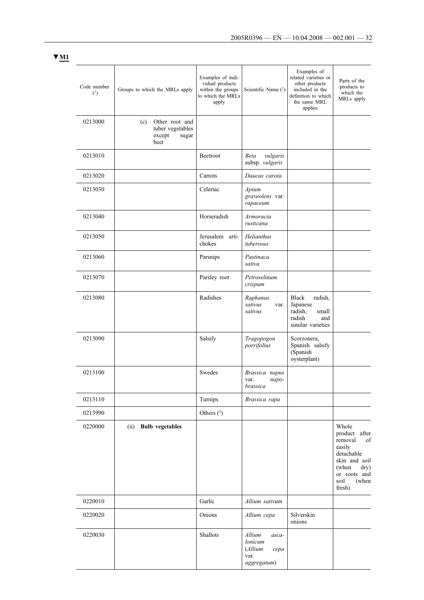| Code number<br>(1) | Groups to which the MRLs apply                                       | Examples of indi-<br>vidual products<br>within the groups<br>to which the MRLs<br>apply | Scientific Name $(2)$                                                | Examples of<br>related varieties or<br>other products<br>included in the<br>definition to which<br>the same MRL<br>applies | Parts of the<br>products to<br>which the<br>MRLs apply                                                                                       |
|--------------------|----------------------------------------------------------------------|-----------------------------------------------------------------------------------------|----------------------------------------------------------------------|----------------------------------------------------------------------------------------------------------------------------|----------------------------------------------------------------------------------------------------------------------------------------------|
| 0213000            | Other root and<br>(c)<br>tuber vegetables<br>except<br>sugar<br>beet |                                                                                         |                                                                      |                                                                                                                            |                                                                                                                                              |
| 0213010            |                                                                      | Beetroot                                                                                | vulgaris<br>Beta<br>subsp. vulgaris                                  |                                                                                                                            |                                                                                                                                              |
| 0213020            |                                                                      | Carrots                                                                                 | Daucus carota                                                        |                                                                                                                            |                                                                                                                                              |
| 0213030            |                                                                      | Celeriac                                                                                | Apium<br>graveolens var.<br>rapaceum                                 |                                                                                                                            |                                                                                                                                              |
| 0213040            |                                                                      | Horseradish                                                                             | Armoracia<br>rusticana                                               |                                                                                                                            |                                                                                                                                              |
| 0213050            |                                                                      | Jerusalem arti-<br>chokes                                                               | Helianthus<br>tuberosus                                              |                                                                                                                            |                                                                                                                                              |
| 0213060            |                                                                      | Parsnips                                                                                | Pastinaca<br>sativa                                                  |                                                                                                                            |                                                                                                                                              |
| 0213070            |                                                                      | Parsley root                                                                            | Petroselinum<br>crispum                                              |                                                                                                                            |                                                                                                                                              |
| 0213080            |                                                                      | Radishes                                                                                | Raphanus<br>sativus<br>var.<br>sativus                               | <b>Black</b><br>radish,<br>Japanese<br>radish,<br>small<br>radish<br>and<br>similar varieties                              |                                                                                                                                              |
| 0213090            |                                                                      | Salsify                                                                                 | Tragopogon<br>porrifolius                                            | Scorzonera,<br>Spanish salsify<br>(Spanish<br>oysterplant)                                                                 |                                                                                                                                              |
| 0213100            |                                                                      | Swedes                                                                                  | Brassica napus<br>var.<br>napo-<br>brassica                          |                                                                                                                            |                                                                                                                                              |
| 0213110            |                                                                      | Turnips                                                                                 | Brassica rapa                                                        |                                                                                                                            |                                                                                                                                              |
| 0213990            |                                                                      | Others $(3)$                                                                            |                                                                      |                                                                                                                            |                                                                                                                                              |
| 0220000            | (ii) Bulb vegetables                                                 |                                                                                         |                                                                      |                                                                                                                            | Whole<br>product after<br>removal<br>of<br>easily<br>detachable<br>skin and soil<br>(when<br>dry)<br>or roots and<br>soil<br>(when<br>fresh) |
| 0220010            |                                                                      | Garlic                                                                                  | Allium sativum                                                       |                                                                                                                            |                                                                                                                                              |
| 0220020            |                                                                      | Onions                                                                                  | Allium cepa                                                          | Silverskin<br>onions                                                                                                       |                                                                                                                                              |
| 0220030            |                                                                      | Shallots                                                                                | Allium<br>asca-<br>lonicum<br>(Allium<br>cepa<br>var.<br>aggregatum) |                                                                                                                            |                                                                                                                                              |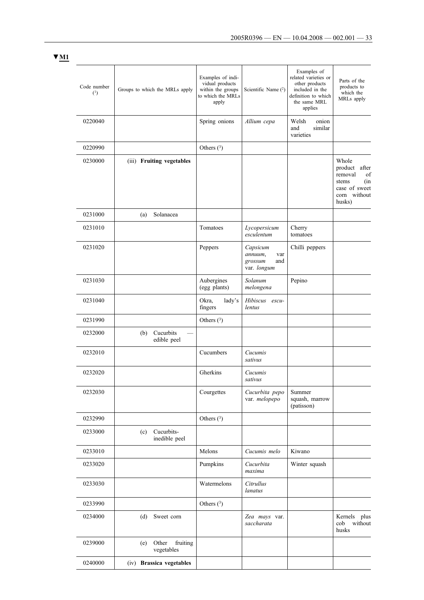| Code number<br>(1) | Groups to which the MRLs apply         | Examples of indi-<br>vidual products<br>within the groups<br>to which the MRLs<br>apply | Scientific Name (2)                                         | Examples of<br>related varieties or<br>other products<br>included in the<br>definition to which<br>the same MRL<br>applies | Parts of the<br>products to<br>which the<br>MRLs apply                                                |
|--------------------|----------------------------------------|-----------------------------------------------------------------------------------------|-------------------------------------------------------------|----------------------------------------------------------------------------------------------------------------------------|-------------------------------------------------------------------------------------------------------|
| 0220040            |                                        | Spring onions                                                                           | Allium cepa                                                 | Welsh<br>onion<br>similar<br>and<br>varieties                                                                              |                                                                                                       |
| 0220990            |                                        | Others $(3)$                                                                            |                                                             |                                                                                                                            |                                                                                                       |
| 0230000            | (iii) Fruiting vegetables              |                                                                                         |                                                             |                                                                                                                            | Whole<br>after<br>product<br>of<br>removal<br>(in<br>stems<br>case of sweet<br>corn without<br>husks) |
| 0231000            | Solanacea<br>(a)                       |                                                                                         |                                                             |                                                                                                                            |                                                                                                       |
| 0231010            |                                        | Tomatoes                                                                                | Lycopersicum<br>esculentum                                  | Cherry<br>tomatoes                                                                                                         |                                                                                                       |
| 0231020            |                                        | Peppers                                                                                 | Capsicum<br>annuum,<br>var<br>grossum<br>and<br>var. longum | Chilli peppers                                                                                                             |                                                                                                       |
| 0231030            |                                        | Aubergines<br>(egg plants)                                                              | Solanum<br>melongena                                        | Pepino                                                                                                                     |                                                                                                       |
| 0231040            |                                        | Okra,<br>lady's<br>fingers                                                              | Hibiscus escu-<br>lentus                                    |                                                                                                                            |                                                                                                       |
| 0231990            |                                        | Others $(3)$                                                                            |                                                             |                                                                                                                            |                                                                                                       |
| 0232000            | Cucurbits<br>(b)<br>edible peel        |                                                                                         |                                                             |                                                                                                                            |                                                                                                       |
| 0232010            |                                        | Cucumbers                                                                               | Cucumis<br>sativus                                          |                                                                                                                            |                                                                                                       |
| 0232020            |                                        | Gherkins                                                                                | Cucumis<br>sativus                                          |                                                                                                                            |                                                                                                       |
| 0232030            |                                        | Courgettes                                                                              | Cucurbita pepo<br>var. melopepo                             | Summer<br>squash, marrow<br>(patisson)                                                                                     |                                                                                                       |
| 0232990            |                                        | Others $(3)$                                                                            |                                                             |                                                                                                                            |                                                                                                       |
| 0233000            | Cucurbits-<br>(c)<br>inedible peel     |                                                                                         |                                                             |                                                                                                                            |                                                                                                       |
| 0233010            |                                        | Melons                                                                                  | Cucumis melo                                                | Kiwano                                                                                                                     |                                                                                                       |
| 0233020            |                                        | Pumpkins                                                                                | Cucurbita<br>maxima                                         | Winter squash                                                                                                              |                                                                                                       |
| 0233030            |                                        | Watermelons                                                                             | Citrullus<br>lanatus                                        |                                                                                                                            |                                                                                                       |
| 0233990            |                                        | Others $(3)$                                                                            |                                                             |                                                                                                                            |                                                                                                       |
| 0234000            | (d)<br>Sweet corn                      |                                                                                         | Zea mays var.<br>saccharata                                 |                                                                                                                            | Kernels plus<br>cob<br>without<br>husks                                                               |
| 0239000            | Other<br>fruiting<br>(e)<br>vegetables |                                                                                         |                                                             |                                                                                                                            |                                                                                                       |
| 0240000            | (iv) Brassica vegetables               |                                                                                         |                                                             |                                                                                                                            |                                                                                                       |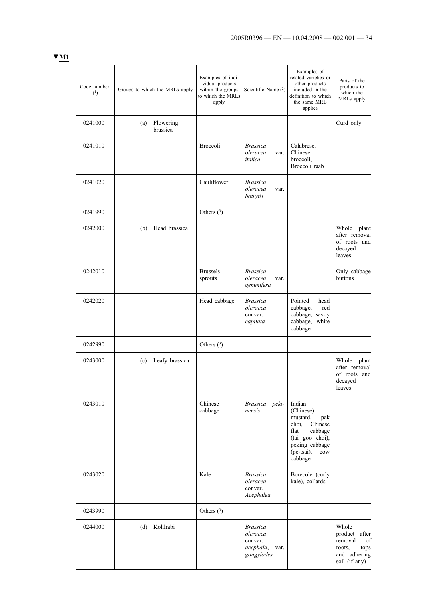| Code number<br>(1) | Groups to which the MRLs apply | Examples of indi-<br>vidual products<br>within the groups<br>to which the MRLs<br>apply | Scientific Name (2)                                                       | Examples of<br>related varieties or<br>other products<br>included in the<br>definition to which<br>the same MRL<br>applies                                     | Parts of the<br>products to<br>which the<br>MRLs apply                                        |
|--------------------|--------------------------------|-----------------------------------------------------------------------------------------|---------------------------------------------------------------------------|----------------------------------------------------------------------------------------------------------------------------------------------------------------|-----------------------------------------------------------------------------------------------|
| 0241000            | Flowering<br>(a)<br>brassica   |                                                                                         |                                                                           |                                                                                                                                                                | Curd only                                                                                     |
| 0241010            |                                | Broccoli                                                                                | <b>Brassica</b><br>oleracea<br>var.<br>italica                            | Calabrese,<br>Chinese<br>broccoli,<br>Broccoli raab                                                                                                            |                                                                                               |
| 0241020            |                                | Cauliflower                                                                             | <b>Brassica</b><br>oleracea<br>var.<br>botrytis                           |                                                                                                                                                                |                                                                                               |
| 0241990            |                                | Others $(3)$                                                                            |                                                                           |                                                                                                                                                                |                                                                                               |
| 0242000            | Head brassica<br>(b)           |                                                                                         |                                                                           |                                                                                                                                                                | Whole<br>plant<br>after removal<br>of roots and<br>decayed<br>leaves                          |
| 0242010            |                                | <b>Brussels</b><br>sprouts                                                              | <b>Brassica</b><br>oleracea<br>var.<br>gemmifera                          |                                                                                                                                                                | Only cabbage<br>buttons                                                                       |
| 0242020            |                                | Head cabbage                                                                            | <b>Brassica</b><br>oleracea<br>convar.<br>capitata                        | Pointed<br>head<br>cabbage,<br>red<br>cabbage, savoy<br>cabbage,<br>white<br>cabbage                                                                           |                                                                                               |
| 0242990            |                                | Others $(3)$                                                                            |                                                                           |                                                                                                                                                                |                                                                                               |
| 0243000            | Leafy brassica<br>(c)          |                                                                                         |                                                                           |                                                                                                                                                                | Whole<br>plant<br>after removal<br>of roots and<br>decayed<br>leaves                          |
| 0243010            |                                | Chinese<br>cabbage                                                                      | Brassica peki-<br>nensis                                                  | Indian<br>(Chinese)<br>mustard,<br>pak<br>Chinese<br>choi,<br>flat<br>cabbage<br>(tai goo choi),<br>peking cabbage<br>(pe-tsai),<br>$_{\text{cow}}$<br>cabbage |                                                                                               |
| 0243020            |                                | Kale                                                                                    | <b>Brassica</b><br>oleracea<br>convar.<br>Acephalea                       | Borecole (curly<br>kale), collards                                                                                                                             |                                                                                               |
| 0243990            |                                | Others $(3)$                                                                            |                                                                           |                                                                                                                                                                |                                                                                               |
| 0244000            | (d)<br>Kohlrabi                |                                                                                         | <b>Brassica</b><br>oleracea<br>convar.<br>acephala,<br>var.<br>gongylodes |                                                                                                                                                                | Whole<br>product<br>after<br>of<br>removal<br>roots,<br>tops<br>and adhering<br>soil (if any) |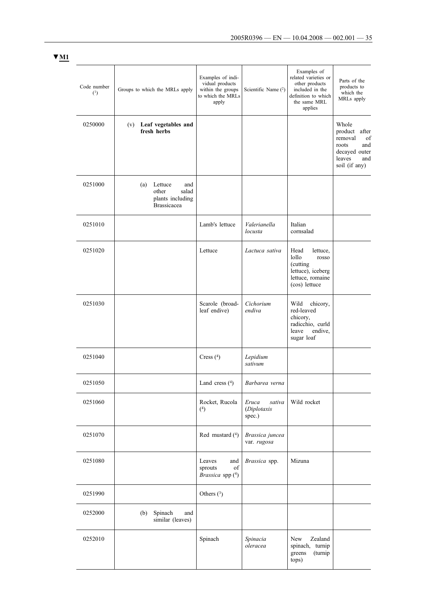greens (turnip

tops)

| Code number<br>(1) | Groups to which the MRLs apply                                                    | Examples of indi-<br>vidual products<br>within the groups<br>to which the MRLs<br>apply | Scientific Name $(2)$                    | Examples of<br>related varieties or<br>other products<br>included in the<br>definition to which<br>the same MRL<br>applies | Parts of the<br>products to<br>which the<br>MRLs apply                                                        |
|--------------------|-----------------------------------------------------------------------------------|-----------------------------------------------------------------------------------------|------------------------------------------|----------------------------------------------------------------------------------------------------------------------------|---------------------------------------------------------------------------------------------------------------|
| 0250000            | (v) Leaf vegetables and<br>fresh herbs                                            |                                                                                         |                                          |                                                                                                                            | Whole<br>product<br>after<br>removal<br>of<br>roots<br>and<br>decayed outer<br>leaves<br>and<br>soil (if any) |
| 0251000            | (a)<br>Lettuce<br>and<br>other<br>salad<br>plants including<br><b>Brassicacea</b> |                                                                                         |                                          |                                                                                                                            |                                                                                                               |
| 0251010            |                                                                                   | Lamb's lettuce                                                                          | Valerianella<br>locusta                  | Italian<br>cornsalad                                                                                                       |                                                                                                               |
| 0251020            |                                                                                   | Lettuce                                                                                 | Lactuca sativa                           | Head<br>lettuce,<br>lollo<br>rosso<br>(cutting<br>lettuce), iceberg<br>lettuce, romaine<br>(cos) lettuce                   |                                                                                                               |
| 0251030            |                                                                                   | Scarole (broad-<br>leaf endive)                                                         | Cichorium<br>endiva                      | Wild<br>chicory,<br>red-leaved<br>chicory,<br>radicchio, curld<br>endive,<br>leave<br>sugar loaf                           |                                                                                                               |
| 0251040            |                                                                                   | Cress $(4)$                                                                             | Lepidium<br>sativum                      |                                                                                                                            |                                                                                                               |
| 0251050            |                                                                                   | Land cress $(4)$                                                                        | Barbarea verna                           |                                                                                                                            |                                                                                                               |
| 0251060            |                                                                                   | Rocket, Rucola<br>$(4)$                                                                 | Eruca<br>sativa<br>(Diplotaxis<br>spec.) | Wild rocket                                                                                                                |                                                                                                               |
| 0251070            |                                                                                   | Red mustard (4)                                                                         | Brassica juncea<br>var. rugosa           |                                                                                                                            |                                                                                                               |
| 0251080            |                                                                                   | Leaves<br>and<br>of<br>sprouts<br>Brassica spp (4)                                      | Brassica spp.                            | Mizuna                                                                                                                     |                                                                                                               |
| 0251990            |                                                                                   | Others $(3)$                                                                            |                                          |                                                                                                                            |                                                                                                               |
| 0252000            | (b)<br>Spinach<br>and<br>similar (leaves)                                         |                                                                                         |                                          |                                                                                                                            |                                                                                                               |
| 0252010            |                                                                                   | Spinach                                                                                 | Spinacia<br>oleracea                     | Zealand<br>New<br>spinach, turnip                                                                                          |                                                                                                               |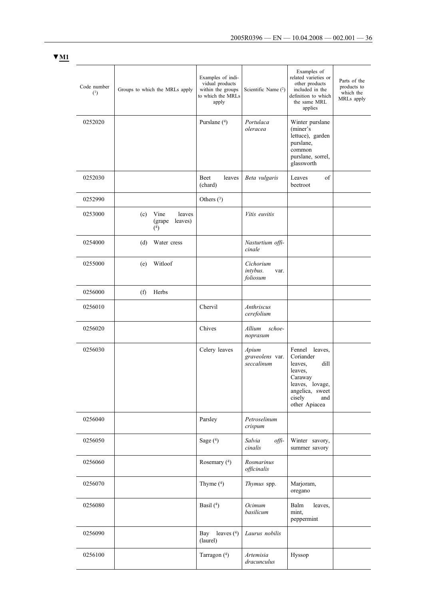| Code number<br>(1) | Groups to which the MRLs apply                       | Examples of indi-<br>vidual products<br>within the groups<br>to which the MRLs<br>apply | Scientific Name (2)                       | Examples of<br>related varieties or<br>other products<br>included in the<br>definition to which<br>the same MRL<br>applies                   | Parts of the<br>products to<br>which the<br>MRLs apply |
|--------------------|------------------------------------------------------|-----------------------------------------------------------------------------------------|-------------------------------------------|----------------------------------------------------------------------------------------------------------------------------------------------|--------------------------------------------------------|
| 0252020            |                                                      | Purslane (4)                                                                            | Portulaca<br>oleracea                     | Winter purslane<br>(miner's<br>lettuce), garden<br>purslane,<br>common<br>purslane, sorrel,<br>glassworth                                    |                                                        |
| 0252030            |                                                      | Beet<br>leaves<br>(chard)                                                               | Beta vulgaris                             | Leaves<br>of<br>beetroot                                                                                                                     |                                                        |
| 0252990            |                                                      | Others $(3)$                                                                            |                                           |                                                                                                                                              |                                                        |
| 0253000            | leaves<br>Vine<br>(c)<br>leaves)<br>(grape)<br>$(4)$ |                                                                                         | Vitis euvitis                             |                                                                                                                                              |                                                        |
| 0254000            | (d)<br>Water cress                                   |                                                                                         | Nasturtium offi-<br>cinale                |                                                                                                                                              |                                                        |
| 0255000            | Witloof<br>(e)                                       |                                                                                         | Cichorium<br>intybus.<br>var.<br>foliosum |                                                                                                                                              |                                                        |
| 0256000            | Herbs<br>(f)                                         |                                                                                         |                                           |                                                                                                                                              |                                                        |
| 0256010            |                                                      | Chervil                                                                                 | Anthriscus<br>cerefolium                  |                                                                                                                                              |                                                        |
| 0256020            |                                                      | Chives                                                                                  | Allium<br>schoe-<br>noprasum              |                                                                                                                                              |                                                        |
| 0256030            |                                                      | Celery leaves                                                                           | Apium<br>graveolens var.<br>seccalinum    | Fennel leaves,<br>Coriander<br>leaves,<br>dill<br>leaves,<br>Caraway<br>leaves, lovage,<br>angelica, sweet<br>cisely<br>and<br>other Apiacea |                                                        |
| 0256040            |                                                      | Parsley                                                                                 | Petroselinum<br>crispum                   |                                                                                                                                              |                                                        |
| 0256050            |                                                      | Sage $(4)$                                                                              | Salvia<br>offi-<br>cinalis                | Winter savory,<br>summer savory                                                                                                              |                                                        |
| 0256060            |                                                      | Rosemary (4)                                                                            | Rosmarinus<br>officinalis                 |                                                                                                                                              |                                                        |
| 0256070            |                                                      | Thyme $(4)$                                                                             | Thymus spp.                               | Marjoram,<br>oregano                                                                                                                         |                                                        |
| 0256080            |                                                      | Basil $(4)$                                                                             | Ocimum<br>basilicum                       | Balm<br>leaves,<br>mint,<br>peppermint                                                                                                       |                                                        |
| 0256090            |                                                      | Bay leaves $(4)$<br>(laurel)                                                            | Laurus nobilis                            |                                                                                                                                              |                                                        |
| 0256100            |                                                      | Tarragon (4)                                                                            | Artemisia<br>dracunculus                  | Hyssop                                                                                                                                       |                                                        |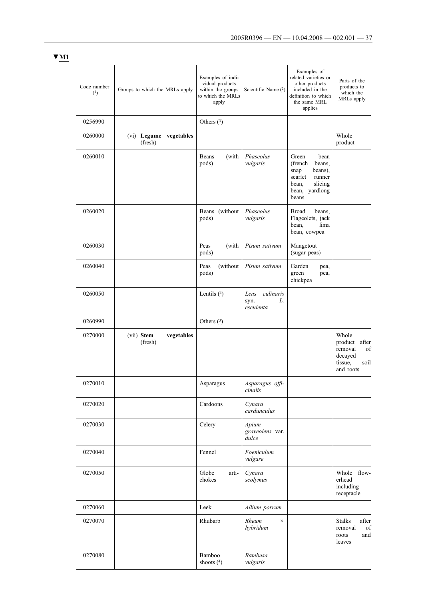| Code number<br>(1) | Groups to which the MRLs apply      | Examples of indi-<br>vidual products<br>within the groups<br>to which the MRLs<br>apply | Scientific Name $(2)$                        | Examples of<br>related varieties or<br>other products<br>included in the<br>definition to which<br>the same MRL<br>applies | Parts of the<br>products to<br>which the<br>MRLs apply                                |
|--------------------|-------------------------------------|-----------------------------------------------------------------------------------------|----------------------------------------------|----------------------------------------------------------------------------------------------------------------------------|---------------------------------------------------------------------------------------|
| 0256990            |                                     | Others $(3)$                                                                            |                                              |                                                                                                                            |                                                                                       |
| 0260000            | (vi) Legume vegetables<br>(fresh)   |                                                                                         |                                              |                                                                                                                            | Whole<br>product                                                                      |
| 0260010            |                                     | Beans<br>(with<br>pods)                                                                 | Phaseolus<br>vulgaris                        | Green<br>bean<br>(french<br>beans,<br>beans),<br>snap<br>scarlet<br>runner<br>slicing<br>bean,<br>bean, yardlong<br>beans  |                                                                                       |
| 0260020            |                                     | Beans<br>(without<br>pods)                                                              | Phaseolus<br>vulgaris                        | <b>Broad</b><br>beans.<br>Flageolets, jack<br>lima<br>bean,<br>bean, cowpea                                                |                                                                                       |
| 0260030            |                                     | Peas<br>(with<br>pods)                                                                  | Pisum sativum                                | Mangetout<br>(sugar peas)                                                                                                  |                                                                                       |
| 0260040            |                                     | (without<br>Peas<br>pods)                                                               | Pisum sativum                                | Garden<br>pea,<br>green<br>pea,<br>chickpea                                                                                |                                                                                       |
| 0260050            |                                     | Lentils $(4)$                                                                           | culinaris<br>Lens<br>syn.<br>L.<br>esculenta |                                                                                                                            |                                                                                       |
| 0260990            |                                     | Others $(^3)$                                                                           |                                              |                                                                                                                            |                                                                                       |
| 0270000            | vegetables<br>(vii) Stem<br>(fresh) |                                                                                         |                                              |                                                                                                                            | Whole<br>product<br>after<br>removal<br>of<br>decayed<br>tissue,<br>soil<br>and roots |
| 0270010            |                                     | Asparagus                                                                               | Asparagus offi-<br>cinalis                   |                                                                                                                            |                                                                                       |
| 0270020            |                                     | Cardoons                                                                                | Cynara<br>cardunculus                        |                                                                                                                            |                                                                                       |
| 0270030            |                                     | Celery                                                                                  | Apium<br>graveolens var.<br>dulce            |                                                                                                                            |                                                                                       |
| 0270040            |                                     | Fennel                                                                                  | Foeniculum<br>vulgare                        |                                                                                                                            |                                                                                       |
| 0270050            |                                     | Globe<br>arti-<br>chokes                                                                | Cynara<br>scolymus                           |                                                                                                                            | Whole flow-<br>erhead<br>including<br>receptacle                                      |
| 0270060            |                                     | Leek                                                                                    | Allium porrum                                |                                                                                                                            |                                                                                       |
| 0270070            |                                     | Rhubarb                                                                                 | Rheum<br>$\times$<br>hybridum                |                                                                                                                            | <b>Stalks</b><br>after<br>removal<br>of<br>roots<br>and<br>leaves                     |
| 0270080            |                                     | Bamboo<br>shoots $(4)$                                                                  | Bambusa<br>vulgaris                          |                                                                                                                            |                                                                                       |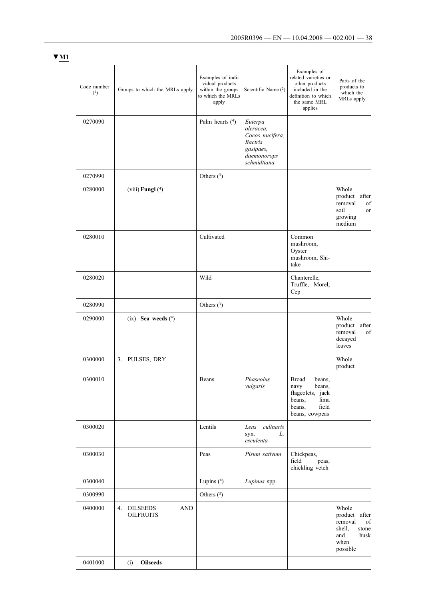| Code number<br>(1) | Groups to which the MRLs apply                          | Examples of indi-<br>vidual products<br>within the groups<br>to which the MRLs<br>apply | Scientific Name (2)                                                                                  | Examples of<br>related varieties or<br>other products<br>included in the<br>definition to which<br>the same MRL<br>applies | Parts of the<br>products to<br>which the<br>MRLs apply                                        |
|--------------------|---------------------------------------------------------|-----------------------------------------------------------------------------------------|------------------------------------------------------------------------------------------------------|----------------------------------------------------------------------------------------------------------------------------|-----------------------------------------------------------------------------------------------|
| 0270090            |                                                         | Palm hearts $(4)$                                                                       | Euterpa<br>oleracea,<br>Cocos nucifera,<br><b>Bactris</b><br>gasipaes,<br>daemonorops<br>schmidtiana |                                                                                                                            |                                                                                               |
| 0270990            |                                                         | Others $(3)$                                                                            |                                                                                                      |                                                                                                                            |                                                                                               |
| 0280000            | (viii) Fungi $(4)$                                      |                                                                                         |                                                                                                      |                                                                                                                            | Whole<br>product<br>after<br>removal<br>of<br>soil<br><b>or</b><br>growing<br>medium          |
| 0280010            |                                                         | Cultivated                                                                              |                                                                                                      | Common<br>mushroom,<br>Oyster<br>mushroom, Shi-<br>take                                                                    |                                                                                               |
| 0280020            |                                                         | Wild                                                                                    |                                                                                                      | Chanterelle,<br>Truffle, Morel,<br>Cep                                                                                     |                                                                                               |
| 0280990            |                                                         | Others $(3)$                                                                            |                                                                                                      |                                                                                                                            |                                                                                               |
| 0290000            | $(ix)$ Sea weeds $(^4)$                                 |                                                                                         |                                                                                                      |                                                                                                                            | Whole<br>product<br>after<br>removal<br>of<br>decayed<br>leaves                               |
| 0300000            | 3. PULSES, DRY                                          |                                                                                         |                                                                                                      |                                                                                                                            | Whole<br>product                                                                              |
| 0300010            |                                                         | Beans                                                                                   | Phaseolus<br>vulgaris                                                                                | <b>Broad</b><br>beans,<br>navy<br>beans,<br>flageolets, jack<br>lima<br>beans,<br>beans,<br>field<br>beans, cowpeas        |                                                                                               |
| 0300020            |                                                         | Lentils                                                                                 | culinaris<br>Lens<br>L.<br>syn.<br>esculenta                                                         |                                                                                                                            |                                                                                               |
| 0300030            |                                                         | Peas                                                                                    | Pisum sativum                                                                                        | Chickpeas,<br>field<br>peas,<br>chickling vetch                                                                            |                                                                                               |
| 0300040            |                                                         | Lupins $(4)$                                                                            | Lupinus spp.                                                                                         |                                                                                                                            |                                                                                               |
| 0300990            |                                                         | Others $(3)$                                                                            |                                                                                                      |                                                                                                                            |                                                                                               |
| 0400000            | <b>OILSEEDS</b><br><b>AND</b><br>4.<br><b>OILFRUITS</b> |                                                                                         |                                                                                                      |                                                                                                                            | Whole<br>product after<br>removal<br>of<br>shell,<br>stone<br>and<br>husk<br>when<br>possible |
| 0401000            | <b>Oilseeds</b><br>(i)                                  |                                                                                         |                                                                                                      |                                                                                                                            |                                                                                               |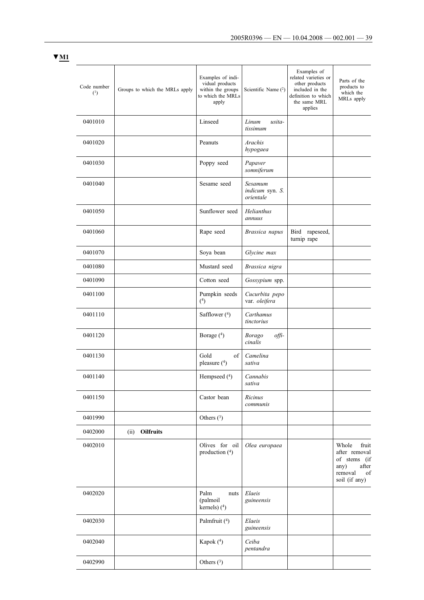| Code number<br>(1) | Groups to which the MRLs apply | Examples of indi-<br>vidual products<br>within the groups<br>to which the MRLs<br>apply | Scientific Name $(2)$                   | Examples of<br>related varieties or<br>other products<br>included in the<br>definition to which<br>the same MRL<br>applies | Parts of the<br>products to<br>which the<br>MRLs apply                                             |
|--------------------|--------------------------------|-----------------------------------------------------------------------------------------|-----------------------------------------|----------------------------------------------------------------------------------------------------------------------------|----------------------------------------------------------------------------------------------------|
| 0401010            |                                | Linseed                                                                                 | Linum<br>usita-<br>tissimum             |                                                                                                                            |                                                                                                    |
| 0401020            |                                | Peanuts                                                                                 | <i>Arachis</i><br>hypogaea              |                                                                                                                            |                                                                                                    |
| 0401030            |                                | Poppy seed                                                                              | Papaver<br>somniferum                   |                                                                                                                            |                                                                                                    |
| 0401040            |                                | Sesame seed                                                                             | Sesamum<br>indicum syn. S.<br>orientale |                                                                                                                            |                                                                                                    |
| 0401050            |                                | Sunflower seed                                                                          | Helianthus<br>annuus                    |                                                                                                                            |                                                                                                    |
| 0401060            |                                | Rape seed                                                                               | Brassica napus                          | Bird rapeseed,<br>turnip rape                                                                                              |                                                                                                    |
| 0401070            |                                | Soya bean                                                                               | Glycine max                             |                                                                                                                            |                                                                                                    |
| 0401080            |                                | Mustard seed                                                                            | Brassica nigra                          |                                                                                                                            |                                                                                                    |
| 0401090            |                                | Cotton seed                                                                             | Gossypium spp.                          |                                                                                                                            |                                                                                                    |
| 0401100            |                                | Pumpkin seeds<br>$(4)$                                                                  | Cucurbita pepo<br>var. oleifera         |                                                                                                                            |                                                                                                    |
| 0401110            |                                | Safflower (4)                                                                           | Carthamus<br>tinctorius                 |                                                                                                                            |                                                                                                    |
| 0401120            |                                | Borage (4)                                                                              | offi-<br><b>Borago</b><br>cinalis       |                                                                                                                            |                                                                                                    |
| 0401130            |                                | Gold<br>of<br>pleasure (4)                                                              | Camelina<br>sativa                      |                                                                                                                            |                                                                                                    |
| 0401140            |                                | Hempseed (4)                                                                            | Cannabis<br>sativa                      |                                                                                                                            |                                                                                                    |
| 0401150            |                                | Castor bean                                                                             | Ricinus<br>communis                     |                                                                                                                            |                                                                                                    |
| 0401990            |                                | Others $(3)$                                                                            |                                         |                                                                                                                            |                                                                                                    |
| 0402000            | (ii) Oilfruits                 |                                                                                         |                                         |                                                                                                                            |                                                                                                    |
| 0402010            |                                | Olives for oil<br>production $(^4)$                                                     | Olea europaea                           |                                                                                                                            | Whole<br>fruit<br>after removal<br>of stems (if<br>any)<br>after<br>removal<br>of<br>soil (if any) |
| 0402020            |                                | Palm<br>nuts<br>(palmoil<br>kernels) $(^{4})$                                           | Elaeis<br>guineensis                    |                                                                                                                            |                                                                                                    |
| 0402030            |                                | Palmfruit (4)                                                                           | Elaeis<br>guineensis                    |                                                                                                                            |                                                                                                    |
| 0402040            |                                | Kapok (4)                                                                               | Ceiba<br>pentandra                      |                                                                                                                            |                                                                                                    |
| 0402990            |                                | Others $(3)$                                                                            |                                         |                                                                                                                            |                                                                                                    |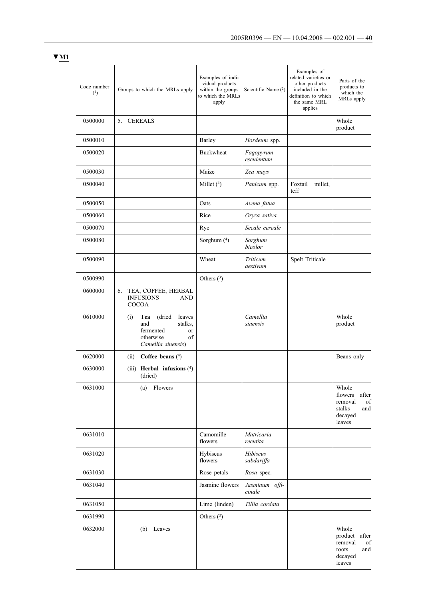| I |  |
|---|--|
|   |  |

| Code number<br>(1) | Groups to which the MRLs apply                                                                                          | Examples of indi-<br>vidual products<br>within the groups<br>to which the MRLs<br>apply | Scientific Name $(2)$    | Examples of<br>related varieties or<br>other products<br>included in the<br>definition to which<br>the same MRL<br>applies | Parts of the<br>products to<br>which the<br>MRLs apply                           |
|--------------------|-------------------------------------------------------------------------------------------------------------------------|-----------------------------------------------------------------------------------------|--------------------------|----------------------------------------------------------------------------------------------------------------------------|----------------------------------------------------------------------------------|
| 0500000            | <b>CEREALS</b><br>5.                                                                                                    |                                                                                         |                          |                                                                                                                            | Whole<br>product                                                                 |
| 0500010            |                                                                                                                         | Barley                                                                                  | Hordeum spp.             |                                                                                                                            |                                                                                  |
| 0500020            |                                                                                                                         | Buckwheat                                                                               | Fagopyrum<br>esculentum  |                                                                                                                            |                                                                                  |
| 0500030            |                                                                                                                         | Maize                                                                                   | Zea mays                 |                                                                                                                            |                                                                                  |
| 0500040            |                                                                                                                         | Millet $(4)$                                                                            | Panicum spp.             | Foxtail<br>millet,<br>teff                                                                                                 |                                                                                  |
| 0500050            |                                                                                                                         | Oats                                                                                    | Avena fatua              |                                                                                                                            |                                                                                  |
| 0500060            |                                                                                                                         | Rice                                                                                    | Oryza sativa             |                                                                                                                            |                                                                                  |
| 0500070            |                                                                                                                         | Rye                                                                                     | Secale cereale           |                                                                                                                            |                                                                                  |
| 0500080            |                                                                                                                         | Sorghum (4)                                                                             | Sorghum<br>bicolor       |                                                                                                                            |                                                                                  |
| 0500090            |                                                                                                                         | Wheat                                                                                   | Triticum<br>aestivum     | Spelt Triticale                                                                                                            |                                                                                  |
| 0500990            |                                                                                                                         | Others $(^3)$                                                                           |                          |                                                                                                                            |                                                                                  |
| 0600000            | 6. TEA, COFFEE, HERBAL<br><b>INFUSIONS</b><br>AND<br><b>COCOA</b>                                                       |                                                                                         |                          |                                                                                                                            |                                                                                  |
| 0610000            | (dried<br>Tea<br>leaves<br>(i)<br>and<br>stalks.<br>fermented<br><sub>or</sub><br>otherwise<br>of<br>Camellia sinensis) |                                                                                         | Camellia<br>sinensis     |                                                                                                                            | Whole<br>product                                                                 |
| 0620000            | Coffee beans $(4)$<br>(ii)                                                                                              |                                                                                         |                          |                                                                                                                            | Beans only                                                                       |
| 0630000            | (iii) Herbal infusions $(4)$<br>(dried)                                                                                 |                                                                                         |                          |                                                                                                                            |                                                                                  |
| 0631000            | Flowers<br>(a)                                                                                                          |                                                                                         |                          |                                                                                                                            | Whole<br>flowers<br>after<br>removal<br>of<br>stalks<br>and<br>decayed<br>leaves |
| 0631010            |                                                                                                                         | Camomille<br>flowers                                                                    | Matricaria<br>recutita   |                                                                                                                            |                                                                                  |
| 0631020            |                                                                                                                         | Hybiscus<br>flowers                                                                     | Hibiscus<br>sabdariffa   |                                                                                                                            |                                                                                  |
| 0631030            |                                                                                                                         | Rose petals                                                                             | Rosa spec.               |                                                                                                                            |                                                                                  |
| 0631040            |                                                                                                                         | Jasmine flowers                                                                         | Jasminum offi-<br>cinale |                                                                                                                            |                                                                                  |
| 0631050            |                                                                                                                         | Lime (linden)                                                                           | Tillia cordata           |                                                                                                                            |                                                                                  |
| 0631990            |                                                                                                                         | Others $(3)$                                                                            |                          |                                                                                                                            |                                                                                  |
| 0632000            | (b) Leaves                                                                                                              |                                                                                         |                          |                                                                                                                            | Whole<br>product<br>after<br>removal<br>of<br>roots<br>and<br>decayed<br>leaves  |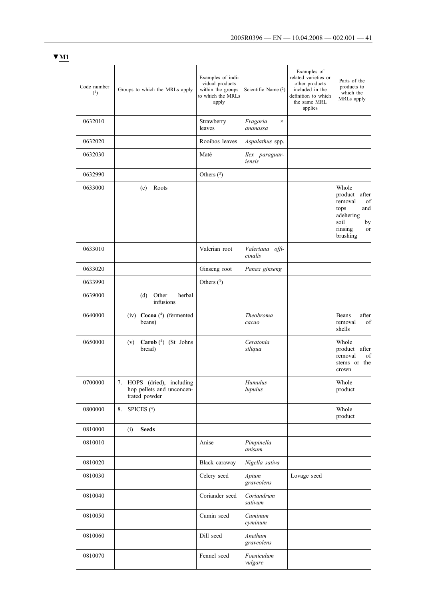| $\blacktriangledown$ M1 |                    |                                                                          |                                                                                         |                            |                                                                                                                            |                                                                                                                   |
|-------------------------|--------------------|--------------------------------------------------------------------------|-----------------------------------------------------------------------------------------|----------------------------|----------------------------------------------------------------------------------------------------------------------------|-------------------------------------------------------------------------------------------------------------------|
|                         | Code number<br>(1) | Groups to which the MRLs apply                                           | Examples of indi-<br>vidual products<br>within the groups<br>to which the MRLs<br>apply | Scientific Name (2)        | Examples of<br>related varieties or<br>other products<br>included in the<br>definition to which<br>the same MRL<br>applies | Parts of the<br>products to<br>which the<br>MRLs apply                                                            |
|                         | 0632010            |                                                                          | Strawberry<br>leaves                                                                    | Fragaria<br>×<br>ananassa  |                                                                                                                            |                                                                                                                   |
|                         | 0632020            |                                                                          | Rooibos leaves                                                                          | Aspalathus spp.            |                                                                                                                            |                                                                                                                   |
|                         | 0632030            |                                                                          | Maté                                                                                    | Ilex paraguar-<br>iensis   |                                                                                                                            |                                                                                                                   |
|                         | 0632990            |                                                                          | Others $(^3)$                                                                           |                            |                                                                                                                            |                                                                                                                   |
|                         | 0633000            | (c)<br>Roots                                                             |                                                                                         |                            |                                                                                                                            | Whole<br>product<br>after<br>removal<br>of<br>tops<br>and<br>adehering<br>soil<br>by<br>rinsing<br>or<br>brushing |
|                         | 0633010            |                                                                          | Valerian root                                                                           | Valeriana offi-<br>cinalis |                                                                                                                            |                                                                                                                   |
|                         | 0633020            |                                                                          | Ginseng root                                                                            | Panax ginseng              |                                                                                                                            |                                                                                                                   |
|                         | 0633990            |                                                                          | Others $(3)$                                                                            |                            |                                                                                                                            |                                                                                                                   |
|                         | 0639000            | Other<br>herbal<br>(d)<br>infusions                                      |                                                                                         |                            |                                                                                                                            |                                                                                                                   |
|                         | 0640000            | (iv) Cocoa (4) (fermented<br>beans)                                      |                                                                                         | Theobroma<br>cacao         |                                                                                                                            | Beans<br>after<br>removal<br>of<br>shells                                                                         |
|                         | 0650000            | (v) Carob (4) (St Johns<br>bread)                                        |                                                                                         | Ceratonia<br>siliqua       |                                                                                                                            | Whole<br>product after<br>removal<br>of<br>stems or the<br>crown                                                  |
|                         | 0700000            | 7. HOPS (dried), including<br>hop pellets and unconcen-<br>trated powder |                                                                                         | Humulus<br>lupulus         |                                                                                                                            | Whole<br>product                                                                                                  |
|                         | 0800000            | SPICES <sup>(4)</sup><br>8.                                              |                                                                                         |                            |                                                                                                                            | Whole<br>product                                                                                                  |
|                         | 0810000            | <b>Seeds</b><br>(i)                                                      |                                                                                         |                            |                                                                                                                            |                                                                                                                   |
|                         | 0810010            |                                                                          | Anise                                                                                   | Pimpinella<br>anisum       |                                                                                                                            |                                                                                                                   |
|                         | 0810020            |                                                                          | Black caraway                                                                           | Nigella sativa             |                                                                                                                            |                                                                                                                   |
|                         | 0810030            |                                                                          | Celery seed                                                                             | Apium<br>graveolens        | Lovage seed                                                                                                                |                                                                                                                   |
|                         | 0810040            |                                                                          | Coriander seed                                                                          | Coriandrum<br>sativum      |                                                                                                                            |                                                                                                                   |
|                         | 0810050            |                                                                          | Cumin seed                                                                              | Cuminum<br>cyminum         |                                                                                                                            |                                                                                                                   |
|                         | 0810060            |                                                                          | Dill seed                                                                               | Anethum<br>graveolens      |                                                                                                                            |                                                                                                                   |
|                         | 0810070            |                                                                          | Fennel seed                                                                             | Foeniculum<br>vulgare      |                                                                                                                            |                                                                                                                   |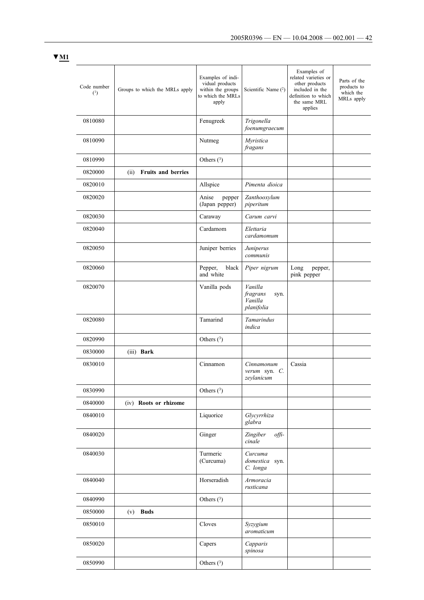| Code number<br>(1) | Groups to which the MRLs apply | Examples of indi-<br>vidual products<br>within the groups<br>to which the MRLs<br>apply | Scientific Name (2)                                  | Examples of<br>related varieties or<br>other products<br>included in the<br>definition to which<br>the same MRL<br>applies | Parts of the<br>products to<br>which the<br>MRLs apply |
|--------------------|--------------------------------|-----------------------------------------------------------------------------------------|------------------------------------------------------|----------------------------------------------------------------------------------------------------------------------------|--------------------------------------------------------|
| 0810080            |                                | Fenugreek                                                                               | Trigonella<br>foenumgraecum                          |                                                                                                                            |                                                        |
| 0810090            |                                | Nutmeg                                                                                  | Myristica<br>fragans                                 |                                                                                                                            |                                                        |
| 0810990            |                                | Others $(3)$                                                                            |                                                      |                                                                                                                            |                                                        |
| 0820000            | Fruits and berries<br>(ii)     |                                                                                         |                                                      |                                                                                                                            |                                                        |
| 0820010            |                                | Allspice                                                                                | Pimenta dioica                                       |                                                                                                                            |                                                        |
| 0820020            |                                | Anise<br>pepper<br>(Japan pepper)                                                       | Zanthooxylum<br>piperitum                            |                                                                                                                            |                                                        |
| 0820030            |                                | Caraway                                                                                 | Carum carvi                                          |                                                                                                                            |                                                        |
| 0820040            |                                | Cardamom                                                                                | Elettaria<br>cardamomum                              |                                                                                                                            |                                                        |
| 0820050            |                                | Juniper berries                                                                         | Juniperus<br>communis                                |                                                                                                                            |                                                        |
| 0820060            |                                | Pepper,<br>black<br>and white                                                           | Piper nigrum                                         | Long<br>pepper,<br>pink pepper                                                                                             |                                                        |
| 0820070            |                                | Vanilla pods                                                                            | Vanilla<br>fragrans<br>syn.<br>Vanilla<br>planifolia |                                                                                                                            |                                                        |
| 0820080            |                                | Tamarind                                                                                | Tamarindus<br>indica                                 |                                                                                                                            |                                                        |
| 0820990            |                                | Others $(3)$                                                                            |                                                      |                                                                                                                            |                                                        |
| 0830000            | (iii) Bark                     |                                                                                         |                                                      |                                                                                                                            |                                                        |
| 0830010            |                                | Cinnamon                                                                                | Cinnamonum<br>verum syn. $C$ .<br>zeylanicum         | Cassia                                                                                                                     |                                                        |
| 0830990            |                                | Others $(^3)$                                                                           |                                                      |                                                                                                                            |                                                        |
| 0840000            | (iv) Roots or rhizome          |                                                                                         |                                                      |                                                                                                                            |                                                        |
| 0840010            |                                | Liquorice                                                                               | Glycyrrhiza<br>glabra                                |                                                                                                                            |                                                        |
| 0840020            |                                | Ginger                                                                                  | Zingiber<br>offi-<br>cinale                          |                                                                                                                            |                                                        |
| 0840030            |                                | Turmeric<br>(Curcuma)                                                                   | Curcuma<br>domestica syn.<br>C. longa                |                                                                                                                            |                                                        |
| 0840040            |                                | Horseradish                                                                             | Armoracia<br>rusticana                               |                                                                                                                            |                                                        |
| 0840990            |                                | Others $(3)$                                                                            |                                                      |                                                                                                                            |                                                        |
| 0850000            | <b>Buds</b><br>(v)             |                                                                                         |                                                      |                                                                                                                            |                                                        |
| 0850010            |                                | Cloves                                                                                  | Syzygium<br>aromaticum                               |                                                                                                                            |                                                        |
| 0850020            |                                | Capers                                                                                  | Capparis<br>spinosa                                  |                                                                                                                            |                                                        |
| 0850990            |                                | Others $(^3)$                                                                           |                                                      |                                                                                                                            |                                                        |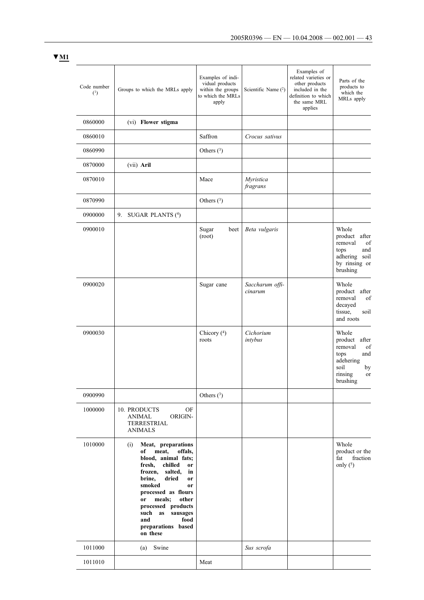|                    |                                                                                                                                                                                                                                                                                                                                 | Examples of indi-                                                  |                            | Examples of<br>related varieties or                                                 |                                                                                                                   |
|--------------------|---------------------------------------------------------------------------------------------------------------------------------------------------------------------------------------------------------------------------------------------------------------------------------------------------------------------------------|--------------------------------------------------------------------|----------------------------|-------------------------------------------------------------------------------------|-------------------------------------------------------------------------------------------------------------------|
| Code number<br>(1) | Groups to which the MRLs apply                                                                                                                                                                                                                                                                                                  | vidual products<br>within the groups<br>to which the MRLs<br>apply | Scientific Name $(2)$      | other products<br>included in the<br>definition to which<br>the same MRL<br>applies | Parts of the<br>products to<br>which the<br>MRLs apply                                                            |
| 0860000            | (vi) Flower stigma                                                                                                                                                                                                                                                                                                              |                                                                    |                            |                                                                                     |                                                                                                                   |
| 0860010            |                                                                                                                                                                                                                                                                                                                                 | Saffron                                                            | Crocus sativus             |                                                                                     |                                                                                                                   |
| 0860990            |                                                                                                                                                                                                                                                                                                                                 | Others $(^3)$                                                      |                            |                                                                                     |                                                                                                                   |
| 0870000            | (vii) Aril                                                                                                                                                                                                                                                                                                                      |                                                                    |                            |                                                                                     |                                                                                                                   |
| 0870010            |                                                                                                                                                                                                                                                                                                                                 | Mace                                                               | Myristica<br>fragrans      |                                                                                     |                                                                                                                   |
| 0870990            |                                                                                                                                                                                                                                                                                                                                 | Others $(3)$                                                       |                            |                                                                                     |                                                                                                                   |
| 0900000            | 9.<br>SUGAR PLANTS (4)                                                                                                                                                                                                                                                                                                          |                                                                    |                            |                                                                                     |                                                                                                                   |
| 0900010            |                                                                                                                                                                                                                                                                                                                                 | Sugar<br>beet<br>(root)                                            | Beta vulgaris              |                                                                                     | Whole<br>product<br>after<br>of<br>removal<br>tops<br>and<br>adhering soil<br>by rinsing or<br>brushing           |
| 0900020            |                                                                                                                                                                                                                                                                                                                                 | Sugar cane                                                         | Saccharum offi-<br>cinarum |                                                                                     | Whole<br>product<br>after<br>removal<br>of<br>decayed<br>tissue,<br>soil<br>and roots                             |
| 0900030            |                                                                                                                                                                                                                                                                                                                                 | Chicory $(4)$<br>roots                                             | Cichorium<br>intybus       |                                                                                     | Whole<br>product<br>after<br>removal<br>of<br>tops<br>and<br>adehering<br>soil<br>by<br>rinsing<br>or<br>brushing |
| 0900990            |                                                                                                                                                                                                                                                                                                                                 | Others $(^3)$                                                      |                            |                                                                                     |                                                                                                                   |
| 1000000            | 10. PRODUCTS<br>OF<br>ORIGIN-<br><b>ANIMAL</b><br><b>TERRESTRIAL</b><br><b>ANIMALS</b>                                                                                                                                                                                                                                          |                                                                    |                            |                                                                                     |                                                                                                                   |
| 1010000            | Meat, preparations<br>(i)<br>meat,<br>of<br>offals,<br>blood, animal fats;<br>fresh,<br>chilled<br>or<br>frozen, salted,<br>in<br>brine,<br>dried<br>or<br>smoked<br><b>or</b><br>processed as flours<br>meals;<br>other<br>or<br>processed products<br>sausages<br>such<br>as<br>food<br>and<br>preparations based<br>on these |                                                                    |                            |                                                                                     | Whole<br>product or the<br>fat<br>fraction<br>only $(5)$                                                          |
| 1011000            | Swine<br>(a)                                                                                                                                                                                                                                                                                                                    |                                                                    | Sus scrofa                 |                                                                                     |                                                                                                                   |
| 1011010            |                                                                                                                                                                                                                                                                                                                                 | Meat                                                               |                            |                                                                                     |                                                                                                                   |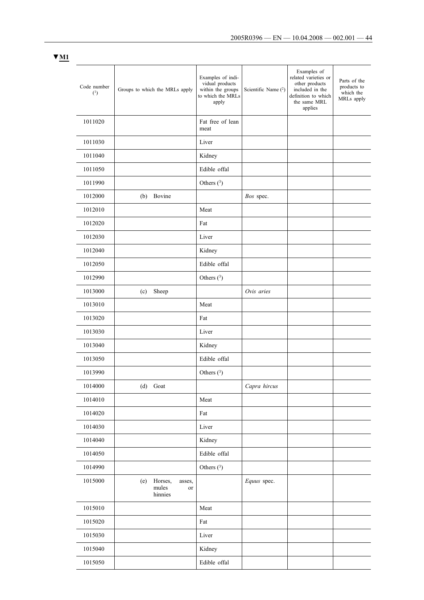| × |  |
|---|--|
|---|--|

| Code number<br>(1) | Groups to which the MRLs apply                     | Examples of indi-<br>vidual products<br>within the groups<br>to which the MRLs<br>apply | Scientific Name (2) | Examples of<br>related varieties or<br>other products<br>included in the<br>definition to which<br>the same MRL<br>applies | Parts of the<br>products to<br>which the<br>MRLs apply |
|--------------------|----------------------------------------------------|-----------------------------------------------------------------------------------------|---------------------|----------------------------------------------------------------------------------------------------------------------------|--------------------------------------------------------|
| 1011020            |                                                    | Fat free of lean<br>meat                                                                |                     |                                                                                                                            |                                                        |
| 1011030            |                                                    | Liver                                                                                   |                     |                                                                                                                            |                                                        |
| 1011040            |                                                    | Kidney                                                                                  |                     |                                                                                                                            |                                                        |
| 1011050            |                                                    | Edible offal                                                                            |                     |                                                                                                                            |                                                        |
| 1011990            |                                                    | Others $(3)$                                                                            |                     |                                                                                                                            |                                                        |
| 1012000            | (b) Bovine                                         |                                                                                         | Bos spec.           |                                                                                                                            |                                                        |
| 1012010            |                                                    | Meat                                                                                    |                     |                                                                                                                            |                                                        |
| 1012020            |                                                    | Fat                                                                                     |                     |                                                                                                                            |                                                        |
| 1012030            |                                                    | Liver                                                                                   |                     |                                                                                                                            |                                                        |
| 1012040            |                                                    | Kidney                                                                                  |                     |                                                                                                                            |                                                        |
| 1012050            |                                                    | Edible offal                                                                            |                     |                                                                                                                            |                                                        |
| 1012990            |                                                    | Others $(3)$                                                                            |                     |                                                                                                                            |                                                        |
| 1013000            | Sheep<br>(c)                                       |                                                                                         | Ovis aries          |                                                                                                                            |                                                        |
| 1013010            |                                                    | Meat                                                                                    |                     |                                                                                                                            |                                                        |
| 1013020            |                                                    | Fat                                                                                     |                     |                                                                                                                            |                                                        |
| 1013030            |                                                    | Liver                                                                                   |                     |                                                                                                                            |                                                        |
| 1013040            |                                                    | Kidney                                                                                  |                     |                                                                                                                            |                                                        |
| 1013050            |                                                    | Edible offal                                                                            |                     |                                                                                                                            |                                                        |
| 1013990            |                                                    | Others $(3)$                                                                            |                     |                                                                                                                            |                                                        |
| 1014000            | (d) Goat                                           |                                                                                         | Capra hircus        |                                                                                                                            |                                                        |
| 1014010            |                                                    | Meat                                                                                    |                     |                                                                                                                            |                                                        |
| 1014020            |                                                    | Fat                                                                                     |                     |                                                                                                                            |                                                        |
| 1014030            |                                                    | Liver                                                                                   |                     |                                                                                                                            |                                                        |
| 1014040            |                                                    | Kidney                                                                                  |                     |                                                                                                                            |                                                        |
| 1014050            |                                                    | Edible offal                                                                            |                     |                                                                                                                            |                                                        |
| 1014990            |                                                    | Others $(3)$                                                                            |                     |                                                                                                                            |                                                        |
| 1015000            | Horses,<br>asses,<br>(e)<br>mules<br>or<br>hinnies |                                                                                         | Equus spec.         |                                                                                                                            |                                                        |
| 1015010            |                                                    | Meat                                                                                    |                     |                                                                                                                            |                                                        |
| 1015020            |                                                    | Fat                                                                                     |                     |                                                                                                                            |                                                        |
| 1015030            |                                                    | Liver                                                                                   |                     |                                                                                                                            |                                                        |
| 1015040            |                                                    | Kidney                                                                                  |                     |                                                                                                                            |                                                        |
| 1015050            |                                                    | Edible offal                                                                            |                     |                                                                                                                            |                                                        |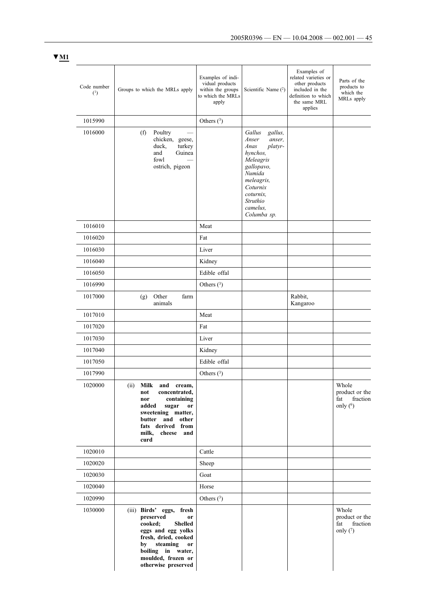| Code number<br>(1) | Groups to which the MRLs apply                                                                                                                                                                                      | Examples of indi-<br>vidual products<br>within the groups<br>to which the MRLs<br>apply | Scientific Name $(2)$                                                                                                                                                                  | Examples of<br>related varieties or<br>other products<br>included in the<br>definition to which<br>the same MRL<br>applies | Parts of the<br>products to<br>which the<br>MRLs apply   |
|--------------------|---------------------------------------------------------------------------------------------------------------------------------------------------------------------------------------------------------------------|-----------------------------------------------------------------------------------------|----------------------------------------------------------------------------------------------------------------------------------------------------------------------------------------|----------------------------------------------------------------------------------------------------------------------------|----------------------------------------------------------|
| 1015990            |                                                                                                                                                                                                                     | Others $(^3)$                                                                           |                                                                                                                                                                                        |                                                                                                                            |                                                          |
| 1016000            | (f)<br>Poultry<br>chicken, geese,<br>duck,<br>turkey<br>and<br>Guinea<br>fowl<br>ostrich, pigeon                                                                                                                    |                                                                                         | Gallus<br>gallus,<br>Anser<br>anser,<br>platyr-<br>Anas<br>hynchos,<br>Meleagris<br>gallopavo,<br>Numida<br>meleagris,<br>Coturnix<br>coturnix.<br>Struthio<br>camelus,<br>Columba sp. |                                                                                                                            |                                                          |
| 1016010            |                                                                                                                                                                                                                     | Meat                                                                                    |                                                                                                                                                                                        |                                                                                                                            |                                                          |
| 1016020            |                                                                                                                                                                                                                     | Fat                                                                                     |                                                                                                                                                                                        |                                                                                                                            |                                                          |
| 1016030            |                                                                                                                                                                                                                     | Liver                                                                                   |                                                                                                                                                                                        |                                                                                                                            |                                                          |
| 1016040            |                                                                                                                                                                                                                     | Kidney                                                                                  |                                                                                                                                                                                        |                                                                                                                            |                                                          |
| 1016050            |                                                                                                                                                                                                                     | Edible offal                                                                            |                                                                                                                                                                                        |                                                                                                                            |                                                          |
| 1016990            |                                                                                                                                                                                                                     | Others $(3)$                                                                            |                                                                                                                                                                                        |                                                                                                                            |                                                          |
| 1017000            | Other<br>farm<br>(g)<br>animals                                                                                                                                                                                     |                                                                                         |                                                                                                                                                                                        | Rabbit,<br>Kangaroo                                                                                                        |                                                          |
| 1017010            |                                                                                                                                                                                                                     | Meat                                                                                    |                                                                                                                                                                                        |                                                                                                                            |                                                          |
| 1017020            |                                                                                                                                                                                                                     | Fat                                                                                     |                                                                                                                                                                                        |                                                                                                                            |                                                          |
| 1017030            |                                                                                                                                                                                                                     | Liver                                                                                   |                                                                                                                                                                                        |                                                                                                                            |                                                          |
| 1017040            |                                                                                                                                                                                                                     | Kidney                                                                                  |                                                                                                                                                                                        |                                                                                                                            |                                                          |
| 1017050            |                                                                                                                                                                                                                     | Edible offal                                                                            |                                                                                                                                                                                        |                                                                                                                            |                                                          |
| 1017990            |                                                                                                                                                                                                                     | Others $(3)$                                                                            |                                                                                                                                                                                        |                                                                                                                            |                                                          |
| 1020000            | (ii)<br>Milk and cream,<br>concentrated,<br>not<br>containing<br>nor<br>added<br>sugar<br>or<br>sweetening matter,<br>butter<br>and other<br>fats derived from<br>milk, cheese<br>and<br>curd                       |                                                                                         |                                                                                                                                                                                        |                                                                                                                            | Whole<br>product or the<br>fat<br>fraction<br>only $(6)$ |
| 1020010            |                                                                                                                                                                                                                     | Cattle                                                                                  |                                                                                                                                                                                        |                                                                                                                            |                                                          |
| 1020020            |                                                                                                                                                                                                                     | Sheep                                                                                   |                                                                                                                                                                                        |                                                                                                                            |                                                          |
| 1020030            |                                                                                                                                                                                                                     | Goat                                                                                    |                                                                                                                                                                                        |                                                                                                                            |                                                          |
| 1020040            |                                                                                                                                                                                                                     | Horse                                                                                   |                                                                                                                                                                                        |                                                                                                                            |                                                          |
| 1020990            |                                                                                                                                                                                                                     | Others $(3)$                                                                            |                                                                                                                                                                                        |                                                                                                                            |                                                          |
| 1030000            | fresh<br>(iii) Birds' eggs,<br>preserved<br>or<br>cooked;<br><b>Shelled</b><br>eggs and egg yolks<br>fresh, dried, cooked<br>steaming<br>by<br>or<br>boiling in water,<br>moulded, frozen or<br>otherwise preserved |                                                                                         |                                                                                                                                                                                        |                                                                                                                            | Whole<br>product or the<br>fraction<br>fat<br>only $(7)$ |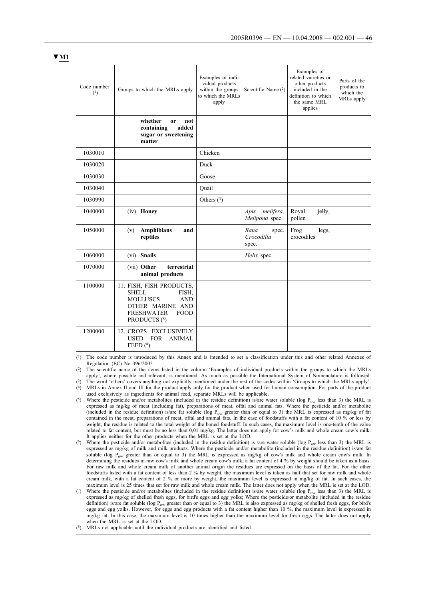| Code number<br>(1) | Groups to which the MRLs apply                                                                                                                             | Examples of indi-<br>vidual products<br>within the groups<br>to which the MRLs<br>apply | Scientific Name $(2)$                | Examples of<br>related varieties or<br>other products<br>included in the<br>definition to which<br>the same MRL<br>applies | Parts of the<br>products to<br>which the<br>MRLs apply |
|--------------------|------------------------------------------------------------------------------------------------------------------------------------------------------------|-----------------------------------------------------------------------------------------|--------------------------------------|----------------------------------------------------------------------------------------------------------------------------|--------------------------------------------------------|
|                    | whether<br><sub>or</sub><br>not<br>containing<br>added<br>sugar or sweetening<br>matter                                                                    |                                                                                         |                                      |                                                                                                                            |                                                        |
| 1030010            |                                                                                                                                                            | Chicken                                                                                 |                                      |                                                                                                                            |                                                        |
| 1030020            |                                                                                                                                                            | Duck                                                                                    |                                      |                                                                                                                            |                                                        |
| 1030030            |                                                                                                                                                            | Goose                                                                                   |                                      |                                                                                                                            |                                                        |
| 1030040            |                                                                                                                                                            | Quail                                                                                   |                                      |                                                                                                                            |                                                        |
| 1030990            |                                                                                                                                                            | Others $(3)$                                                                            |                                      |                                                                                                                            |                                                        |
| 1040000            | (iv) Honey                                                                                                                                                 |                                                                                         | melifera,<br>Apis<br>Melipona spec.  | Royal<br>jelly,<br>pollen                                                                                                  |                                                        |
| 1050000            | <b>Amphibians</b><br>and<br>(v)<br>reptiles                                                                                                                |                                                                                         | Rana<br>spec.<br>Crocodilia<br>spec. | Frog<br>legs,<br>crocodiles                                                                                                |                                                        |
| 1060000            | <b>Snails</b><br>(vi)                                                                                                                                      |                                                                                         | Helix spec.                          |                                                                                                                            |                                                        |
| 1070000            | (vii) Other<br>terrestrial<br>animal products                                                                                                              |                                                                                         |                                      |                                                                                                                            |                                                        |
| 1100000            | 11. FISH, FISH PRODUCTS,<br><b>SHELL</b><br>FISH,<br><b>MOLLUSCS</b><br><b>AND</b><br>OTHER MARINE AND<br><b>FRESHWATER</b><br><b>FOOD</b><br>PRODUCTS (8) |                                                                                         |                                      |                                                                                                                            |                                                        |
| 1200000            | 12. CROPS EXCLUSIVELY<br><b>USED</b><br><b>FOR</b><br><b>ANIMAL</b><br>FEED $(^{8})$                                                                       |                                                                                         |                                      |                                                                                                                            |                                                        |

(1) The code number is introduced by this Annex and is intended to set a classification under this and other related Annexes of Regulation (EC) No 396/2005.

(2) The scientific name of the items listed in the column 'Examples of individual products within the groups to which the MRLs

apply', where possible and relevant, is mentioned. As much as possible the International System of Nomenclature is followed. (3) The word 'others' covers anything not explicitly mentioned under the rest of the codes within 'Groups to which the MRLs apply'. (4) MRLs in Annex II and III for the product apply only for the product when used for human consumption. For parts of the product used exclusively as ingredients for animal feed, separate MRLs will be applicable.

- (5) Where the pesticide and/or metabolites (included in the residue definition) is/are water soluble (log P<sub>ow</sub> less than 3) the MRL is expressed as mg/kg of meat (including fat), preparations of meat, offal and animal fats. Where the pesticide and/or metabolite (included in the residue definition) is/are fat soluble (log  $P_{ow}$  greater than or equal to 3) the MRL is expressed as mg/kg of fat contained in the meat, preparations of meat, offal and animal fats. In the case of foods weight, the residue is related to the total weight of the boned foodstuff. In such cases, the maximum level is one-tenth of the value related to fat content, but must be no less than 0,01 mg/kg. The latter does not apply for cow's milk and whole cream cow's milk. It applies neither for the other products when the MRL is set at the LOD.
- (6) Where the pesticide and/or metabolites (included in the residue definition) is /are water soluble (log  $P_{ow}$  less than 3) the MRL is expressed as mg/kg of milk and milk products. Where the pesticide and/or metabolite (included in the residue definition) is/are fat soluble (log P<sub>ow</sub> greater than or equal to 3) the MRL is expressed as mg/kg of cow's milk and whole cream cow's milk. In determining the residues in raw cow's milk and whole cream cow's milk, a fat content of 4 % by weight should be taken as a basis. For raw milk and whole cream milk of another animal origin the residues are expressed on the basis of the fat. For the other foodstuffs listed with a fat content of less than 2 % by weight, the maximum level is taken as half that set for raw milk and whole cream milk, with a fat content of 2 % or more by weight, the maximum level is expressed in mg/kg of fat. In such cases, the maximum level is 25 times that set for raw milk and whole cream milk. The latter does not apply when the MRL is set at the LOD.
- ( $\degree$ ) Where the pesticide and/or metabolites (included in the residue definition) is/are water soluble (log P<sub>ow</sub> less than 3) the MRL is expressed as mg/kg of shelled fresh eggs, for bird's eggs and egg yolks; Where the pesticide/or metabolite (included in the residue definition) is/are fat soluble (log  $P_{ow}$  greater than or equal to 3) the MRL is also expressed as mg/kg of shelled fresh eggs, for bird's eggs and egg yolks. However, for eggs and egg products with a fat content higher than 10 %, the maximum level is expressed in mg/kg fat. In this case, the maximum level is 10 times higher than the maximum level for fresh eggs. The latter does not apply when the MRL is set at the LOD.

(8) MRLs not applicable until the individual products are identified and listed.